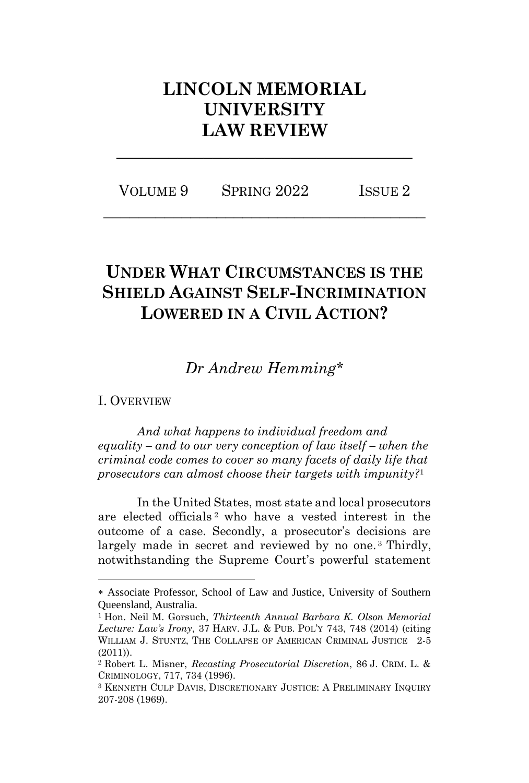# **LINCOLN MEMORIAL UNIVERSITY LAW REVIEW**

VOLUME 9 SPRING 2022 ISSUE 2 **\_\_\_\_\_\_\_\_\_\_\_\_\_\_\_\_\_\_\_\_\_\_\_\_\_\_\_\_\_\_\_\_\_\_\_\_\_**

**\_\_\_\_\_\_\_\_\_\_\_\_\_\_\_\_\_\_\_\_\_\_\_\_\_\_\_\_\_\_\_\_\_\_**

# **UNDER WHAT CIRCUMSTANCES IS THE SHIELD AGAINST SELF-INCRIMINATION LOWERED IN A CIVIL ACTION?**

## *Dr Andrew Hemming\**

### I. OVERVIEW

*And what happens to individual freedom and equality – and to our very conception of law itself – when the criminal code comes to cover so many facets of daily life that prosecutors can almost choose their targets with impunity?* 1

In the United States, most state and local prosecutors are elected officials <sup>2</sup> who have a vested interest in the outcome of a case. Secondly, a prosecutor's decisions are largely made in secret and reviewed by no one.<sup>3</sup> Thirdly, notwithstanding the Supreme Court's powerful statement

Associate Professor, School of Law and Justice, University of Southern Queensland, Australia.

<sup>1</sup> Hon. Neil M. Gorsuch, *Thirteenth Annual Barbara K. Olson Memorial Lecture: Law's Irony*, 37 HARV. J.L. & PUB. POL'Y 743, 748 (2014) (citing WILLIAM J. STUNTZ, THE COLLAPSE OF AMERICAN CRIMINAL JUSTICE 2-5 (2011)).

<sup>2</sup> Robert L. Misner, *Recasting Prosecutorial Discretion*, 86 J. CRIM. L. & CRIMINOLOGY, 717, 734 (1996).

<sup>3</sup> KENNETH CULP DAVIS, DISCRETIONARY JUSTICE: A PRELIMINARY INQUIRY 207-208 (1969).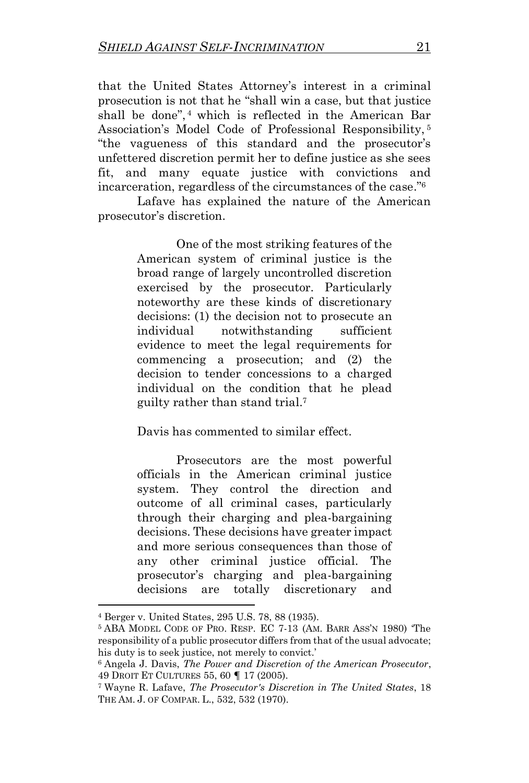that the United States Attorney's interest in a criminal prosecution is not that he "shall win a case, but that justice shall be done", <sup>4</sup> which is reflected in the American Bar Association's Model Code of Professional Responsibility, <sup>5</sup> "the vagueness of this standard and the prosecutor's unfettered discretion permit her to define justice as she sees fit, and many equate justice with convictions and incarceration, regardless of the circumstances of the case."<sup>6</sup>

Lafave has explained the nature of the American prosecutor's discretion.

> One of the most striking features of the American system of criminal justice is the broad range of largely uncontrolled discretion exercised by the prosecutor. Particularly noteworthy are these kinds of discretionary decisions: (1) the decision not to prosecute an individual notwithstanding sufficient evidence to meet the legal requirements for commencing a prosecution; and (2) the decision to tender concessions to a charged individual on the condition that he plead guilty rather than stand trial.<sup>7</sup>

Davis has commented to similar effect.

Prosecutors are the most powerful officials in the American criminal justice system. They control the direction and outcome of all criminal cases, particularly through their charging and plea-bargaining decisions. These decisions have greater impact and more serious consequences than those of any other criminal justice official. The prosecutor's charging and plea-bargaining decisions are totally discretionary and

<sup>4</sup> Berger v. United States, 295 U.S. 78, 88 (1935).

<sup>5</sup> ABA MODEL CODE OF PRO. RESP. EC 7-13 (AM. BARR ASS'N 1980) 'The responsibility of a public prosecutor differs from that of the usual advocate; his duty is to seek justice, not merely to convict.'

<sup>6</sup> Angela J. Davis, *The Power and Discretion of the American Prosecutor*, 49 DROIT ET CULTURES 55, 60 **¶** 17 (2005).

<sup>7</sup> Wayne R. Lafave, *The Prosecutor's Discretion in The United States*, 18 THE AM. J. OF COMPAR. L., 532, 532 (1970).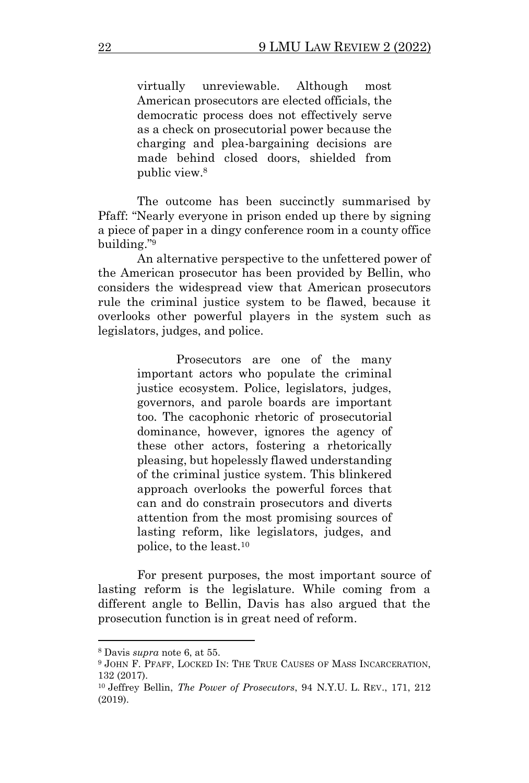virtually unreviewable. Although most American prosecutors are elected officials, the democratic process does not effectively serve as a check on prosecutorial power because the charging and plea-bargaining decisions are made behind closed doors, shielded from public view.<sup>8</sup>

The outcome has been succinctly summarised by Pfaff: "Nearly everyone in prison ended up there by signing a piece of paper in a dingy conference room in a county office building." 9

An alternative perspective to the unfettered power of the American prosecutor has been provided by Bellin, who considers the widespread view that American prosecutors rule the criminal justice system to be flawed, because it overlooks other powerful players in the system such as legislators, judges, and police.

> Prosecutors are one of the many important actors who populate the criminal justice ecosystem. Police, legislators, judges, governors, and parole boards are important too. The cacophonic rhetoric of prosecutorial dominance, however, ignores the agency of these other actors, fostering a rhetorically pleasing, but hopelessly flawed understanding of the criminal justice system. This blinkered approach overlooks the powerful forces that can and do constrain prosecutors and diverts attention from the most promising sources of lasting reform, like legislators, judges, and police, to the least.<sup>10</sup>

For present purposes, the most important source of lasting reform is the legislature. While coming from a different angle to Bellin, Davis has also argued that the prosecution function is in great need of reform.

<sup>8</sup> Davis *supra* note 6, at 55.

<sup>9</sup> JOHN F. PFAFF, LOCKED IN: THE TRUE CAUSES OF MASS INCARCERATION, 132 (2017).

<sup>10</sup> Jeffrey Bellin, *The Power of Prosecutors*, 94 N.Y.U. L. REV., 171, 212 (2019).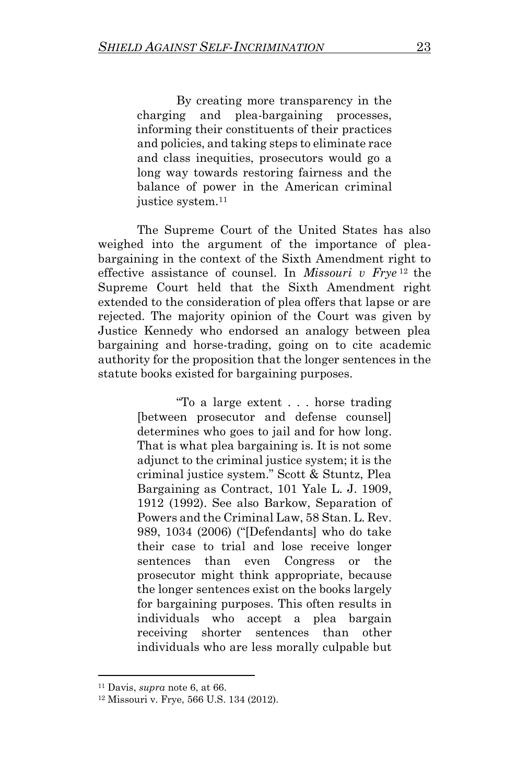By creating more transparency in the charging and plea-bargaining processes, informing their constituents of their practices and policies, and taking steps to eliminate race and class inequities, prosecutors would go a long way towards restoring fairness and the balance of power in the American criminal justice system.<sup>11</sup>

The Supreme Court of the United States has also weighed into the argument of the importance of pleabargaining in the context of the Sixth Amendment right to effective assistance of counsel. In *Missouri v Frye* <sup>12</sup> the Supreme Court held that the Sixth Amendment right extended to the consideration of plea offers that lapse or are rejected. The majority opinion of the Court was given by Justice Kennedy who endorsed an analogy between plea bargaining and horse-trading, going on to cite academic authority for the proposition that the longer sentences in the statute books existed for bargaining purposes.

> "To a large extent . . . horse trading [between prosecutor and defense counsel] determines who goes to jail and for how long. That is what plea bargaining is. It is not some adjunct to the criminal justice system; it is the criminal justice system." Scott & Stuntz, Plea Bargaining as Contract, 101 Yale L. J. 1909, 1912 (1992). See also Barkow, Separation of Powers and the Criminal Law, 58 Stan. L. Rev. 989, 1034 (2006) ("[Defendants] who do take their case to trial and lose receive longer sentences than even Congress or the prosecutor might think appropriate, because the longer sentences exist on the books largely for bargaining purposes. This often results in individuals who accept a plea bargain receiving shorter sentences than other individuals who are less morally culpable but

<sup>11</sup> Davis, *supra* note 6, at 66.

<sup>12</sup> Missouri v. Frye, 566 U.S. 134 (2012).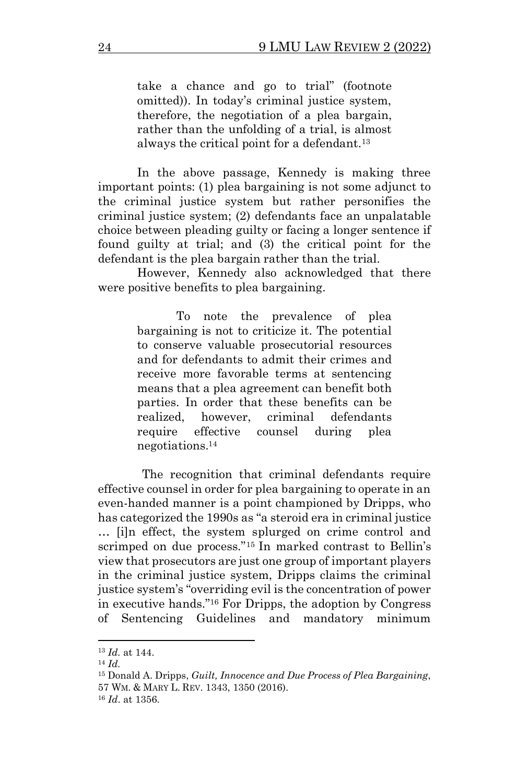take a chance and go to trial" (footnote omitted)). In today's criminal justice system, therefore, the negotiation of a plea bargain, rather than the unfolding of a trial, is almost always the critical point for a defendant.<sup>13</sup>

In the above passage, Kennedy is making three important points: (1) plea bargaining is not some adjunct to the criminal justice system but rather personifies the criminal justice system; (2) defendants face an unpalatable choice between pleading guilty or facing a longer sentence if found guilty at trial; and (3) the critical point for the defendant is the plea bargain rather than the trial.

However, Kennedy also acknowledged that there were positive benefits to plea bargaining.

> To note the prevalence of plea bargaining is not to criticize it. The potential to conserve valuable prosecutorial resources and for defendants to admit their crimes and receive more favorable terms at sentencing means that a plea agreement can benefit both parties. In order that these benefits can be realized, however, criminal defendants require effective counsel during plea negotiations.<sup>14</sup>

The recognition that criminal defendants require effective counsel in order for plea bargaining to operate in an even-handed manner is a point championed by Dripps, who has categorized the 1990s as "a steroid era in criminal justice … [i]n effect, the system splurged on crime control and scrimped on due process." <sup>15</sup> In marked contrast to Bellin's view that prosecutors are just one group of important players in the criminal justice system, Dripps claims the criminal justice system's "overriding evil is the concentration of power in executive hands." <sup>16</sup> For Dripps, the adoption by Congress of Sentencing Guidelines and mandatory minimum

<sup>13</sup> *Id.* at 144.

<sup>14</sup> *Id.*

<sup>15</sup> Donald A. Dripps, *Guilt, Innocence and Due Process of Plea Bargaining*, 57 WM. & MARY L. REV. 1343, 1350 (2016).

<sup>16</sup> *Id*. at 1356.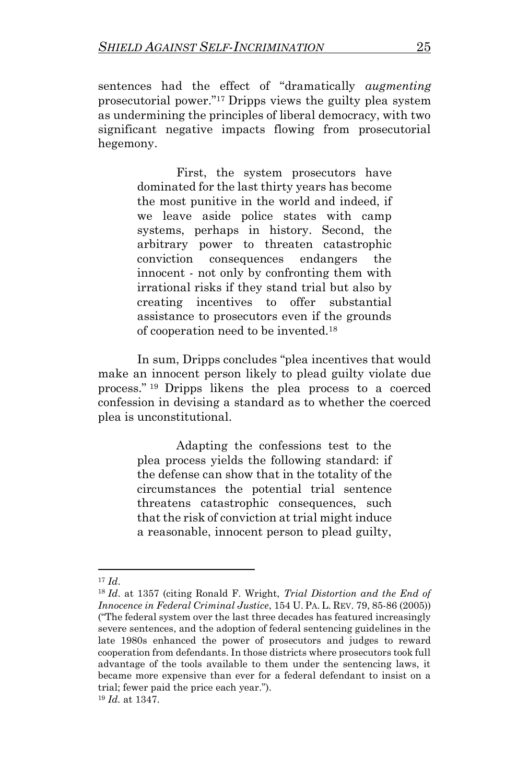sentences had the effect of "dramatically *augmenting* prosecutorial power." <sup>17</sup> Dripps views the guilty plea system as undermining the principles of liberal democracy, with two significant negative impacts flowing from prosecutorial hegemony.

> First, the system prosecutors have dominated for the last thirty years has become the most punitive in the world and indeed, if we leave aside police states with camp systems, perhaps in history. Second, the arbitrary power to threaten catastrophic conviction consequences endangers the innocent - not only by confronting them with irrational risks if they stand trial but also by creating incentives to offer substantial assistance to prosecutors even if the grounds of cooperation need to be invented.<sup>18</sup>

In sum, Dripps concludes "plea incentives that would make an innocent person likely to plead guilty violate due process." <sup>19</sup> Dripps likens the plea process to a coerced confession in devising a standard as to whether the coerced plea is unconstitutional.

> Adapting the confessions test to the plea process yields the following standard: if the defense can show that in the totality of the circumstances the potential trial sentence threatens catastrophic consequences, such that the risk of conviction at trial might induce a reasonable, innocent person to plead guilty,

<sup>17</sup> *Id*.

<sup>18</sup> *Id*. at 1357 (citing Ronald F. Wright, *Trial Distortion and the End of Innocence in Federal Criminal Justice*, 154 U. PA. L. REV. 79, 85-86 (2005)) ("The federal system over the last three decades has featured increasingly severe sentences, and the adoption of federal sentencing guidelines in the late 1980s enhanced the power of prosecutors and judges to reward cooperation from defendants. In those districts where prosecutors took full advantage of the tools available to them under the sentencing laws, it became more expensive than ever for a federal defendant to insist on a trial; fewer paid the price each year.").

<sup>19</sup> *Id.* at 1347.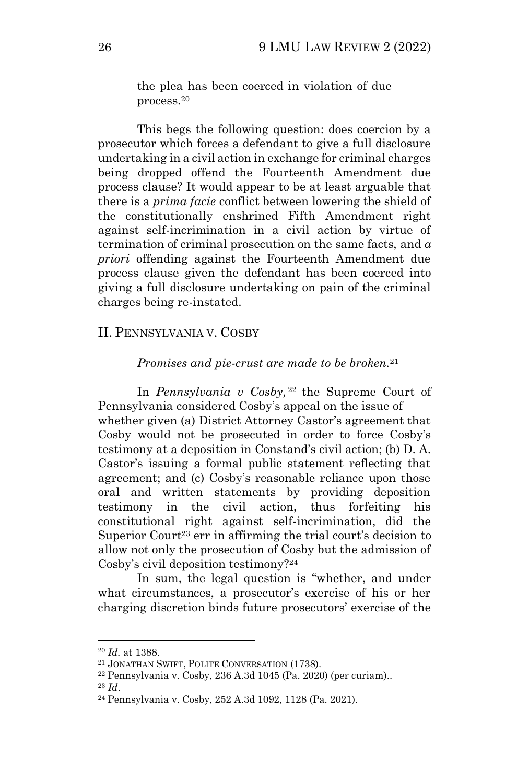the plea has been coerced in violation of due process.<sup>20</sup>

This begs the following question: does coercion by a prosecutor which forces a defendant to give a full disclosure undertaking in a civil action in exchange for criminal charges being dropped offend the Fourteenth Amendment due process clause? It would appear to be at least arguable that there is a *prima facie* conflict between lowering the shield of the constitutionally enshrined Fifth Amendment right against self-incrimination in a civil action by virtue of termination of criminal prosecution on the same facts, and *a priori* offending against the Fourteenth Amendment due process clause given the defendant has been coerced into giving a full disclosure undertaking on pain of the criminal charges being re-instated.

#### II. PENNSYLVANIA V. COSBY

#### *Promises and pie-crust are made to be broken.*<sup>21</sup>

In *Pennsylvania v Cosby,* <sup>22</sup> the Supreme Court of Pennsylvania considered Cosby's appeal on the issue of whether given (a) District Attorney Castor's agreement that Cosby would not be prosecuted in order to force Cosby's testimony at a deposition in Constand's civil action; (b) D. A. Castor's issuing a formal public statement reflecting that agreement; and (c) Cosby's reasonable reliance upon those oral and written statements by providing deposition testimony in the civil action, thus forfeiting his constitutional right against self-incrimination, did the Superior Court<sup>23</sup> err in affirming the trial court's decision to allow not only the prosecution of Cosby but the admission of Cosby's civil deposition testimony?<sup>24</sup>

In sum, the legal question is "whether, and under what circumstances, a prosecutor's exercise of his or her charging discretion binds future prosecutors' exercise of the

<sup>20</sup> *Id.* at 1388.

<sup>21</sup> JONATHAN SWIFT, POLITE CONVERSATION (1738).

<sup>22</sup> Pennsylvania v. Cosby, 236 A.3d 1045 (Pa. 2020) (per curiam).. <sup>23</sup> *Id*.

<sup>24</sup> Pennsylvania v. Cosby, 252 A.3d 1092, 1128 (Pa. 2021).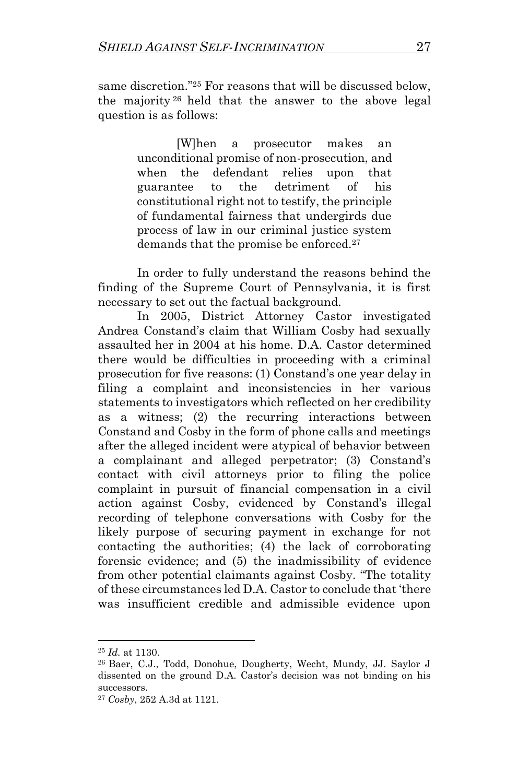same discretion." <sup>25</sup> For reasons that will be discussed below, the majority <sup>26</sup> held that the answer to the above legal question is as follows:

> [W]hen a prosecutor makes an unconditional promise of non-prosecution, and when the defendant relies upon that guarantee to the detriment of his constitutional right not to testify, the principle of fundamental fairness that undergirds due process of law in our criminal justice system demands that the promise be enforced.<sup>27</sup>

In order to fully understand the reasons behind the finding of the Supreme Court of Pennsylvania, it is first necessary to set out the factual background.

In 2005, District Attorney Castor investigated Andrea Constand's claim that William Cosby had sexually assaulted her in 2004 at his home. D.A. Castor determined there would be difficulties in proceeding with a criminal prosecution for five reasons: (1) Constand's one year delay in filing a complaint and inconsistencies in her various statements to investigators which reflected on her credibility as a witness; (2) the recurring interactions between Constand and Cosby in the form of phone calls and meetings after the alleged incident were atypical of behavior between a complainant and alleged perpetrator; (3) Constand's contact with civil attorneys prior to filing the police complaint in pursuit of financial compensation in a civil action against Cosby, evidenced by Constand's illegal recording of telephone conversations with Cosby for the likely purpose of securing payment in exchange for not contacting the authorities; (4) the lack of corroborating forensic evidence; and (5) the inadmissibility of evidence from other potential claimants against Cosby. "The totality of these circumstances led D.A. Castor to conclude that 'there was insufficient credible and admissible evidence upon

<sup>25</sup> *Id.* at 1130.

<sup>26</sup> Baer, C.J., Todd, Donohue, Dougherty, Wecht, Mundy, JJ. Saylor J dissented on the ground D.A. Castor's decision was not binding on his successors.

<sup>27</sup> *Cosby*, 252 A.3d at 1121.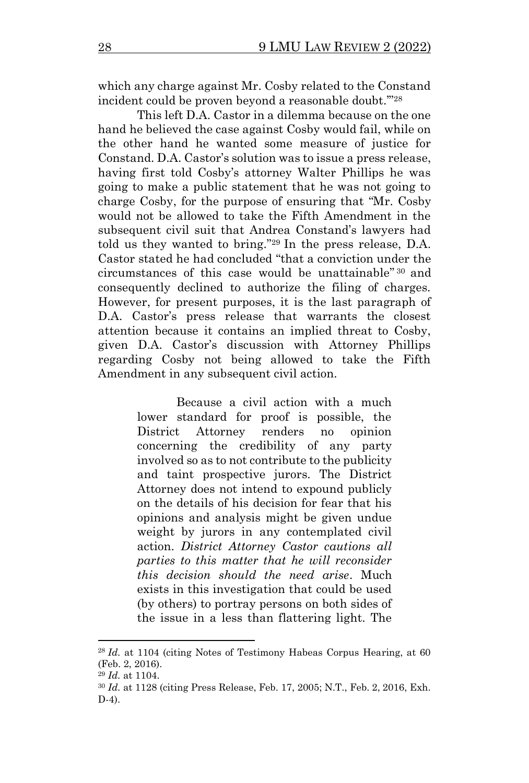which any charge against Mr. Cosby related to the Constand incident could be proven beyond a reasonable doubt.'" 28

This left D.A. Castor in a dilemma because on the one hand he believed the case against Cosby would fail, while on the other hand he wanted some measure of justice for Constand. D.A. Castor's solution was to issue a press release, having first told Cosby's attorney Walter Phillips he was going to make a public statement that he was not going to charge Cosby, for the purpose of ensuring that "Mr. Cosby would not be allowed to take the Fifth Amendment in the subsequent civil suit that Andrea Constand's lawyers had told us they wanted to bring." <sup>29</sup> In the press release, D.A. Castor stated he had concluded "that a conviction under the circumstances of this case would be unattainable" <sup>30</sup> and consequently declined to authorize the filing of charges. However, for present purposes, it is the last paragraph of D.A. Castor's press release that warrants the closest attention because it contains an implied threat to Cosby, given D.A. Castor's discussion with Attorney Phillips regarding Cosby not being allowed to take the Fifth Amendment in any subsequent civil action.

> Because a civil action with a much lower standard for proof is possible, the District Attorney renders no opinion concerning the credibility of any party involved so as to not contribute to the publicity and taint prospective jurors. The District Attorney does not intend to expound publicly on the details of his decision for fear that his opinions and analysis might be given undue weight by jurors in any contemplated civil action. *District Attorney Castor cautions all parties to this matter that he will reconsider this decision should the need arise*. Much exists in this investigation that could be used (by others) to portray persons on both sides of the issue in a less than flattering light. The

<sup>28</sup> *Id.* at 1104 (citing Notes of Testimony Habeas Corpus Hearing, at 60 (Feb. 2, 2016).

<sup>29</sup> *Id.* at 1104.

<sup>30</sup> *Id.* at 1128 (citing Press Release, Feb. 17, 2005; N.T., Feb. 2, 2016, Exh. D-4).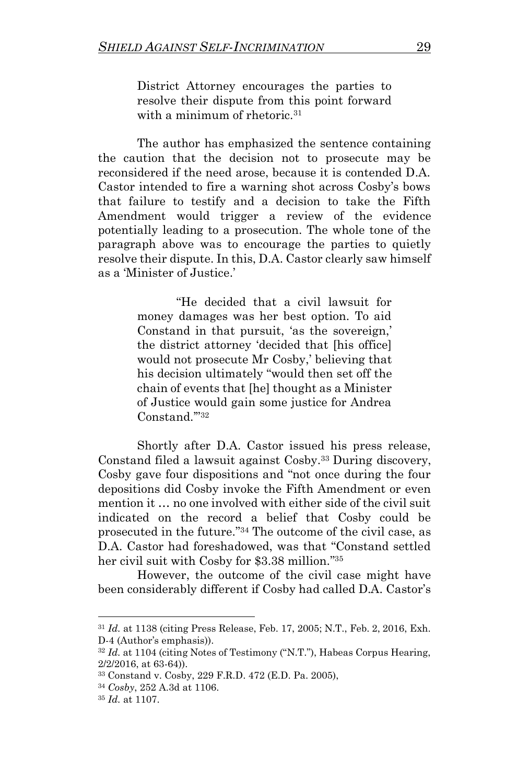District Attorney encourages the parties to resolve their dispute from this point forward with a minimum of rhetoric.<sup>31</sup>

The author has emphasized the sentence containing the caution that the decision not to prosecute may be reconsidered if the need arose, because it is contended D.A. Castor intended to fire a warning shot across Cosby's bows that failure to testify and a decision to take the Fifth Amendment would trigger a review of the evidence potentially leading to a prosecution. The whole tone of the paragraph above was to encourage the parties to quietly resolve their dispute. In this, D.A. Castor clearly saw himself as a 'Minister of Justice.'

> "He decided that a civil lawsuit for money damages was her best option. To aid Constand in that pursuit, 'as the sovereign,' the district attorney 'decided that [his office] would not prosecute Mr Cosby,' believing that his decision ultimately "would then set off the chain of events that [he] thought as a Minister of Justice would gain some justice for Andrea Constand.'" 32

Shortly after D.A. Castor issued his press release, Constand filed a lawsuit against Cosby.<sup>33</sup> During discovery, Cosby gave four dispositions and "not once during the four depositions did Cosby invoke the Fifth Amendment or even mention it … no one involved with either side of the civil suit indicated on the record a belief that Cosby could be prosecuted in the future." <sup>34</sup> The outcome of the civil case, as D.A. Castor had foreshadowed, was that "Constand settled her civil suit with Cosby for \$3.38 million." 35

However, the outcome of the civil case might have been considerably different if Cosby had called D.A. Castor's

<sup>31</sup> *Id.* at 1138 (citing Press Release, Feb. 17, 2005; N.T., Feb. 2, 2016, Exh. D-4 (Author's emphasis)).

<sup>32</sup> *Id.* at 1104 (citing Notes of Testimony ("N.T."), Habeas Corpus Hearing, 2/2/2016, at 63-64)).

<sup>33</sup> Constand v. Cosby, 229 F.R.D. 472 (E.D. Pa. 2005),

<sup>34</sup> *Cosby*, 252 A.3d at 1106.

<sup>35</sup> *Id.* at 1107.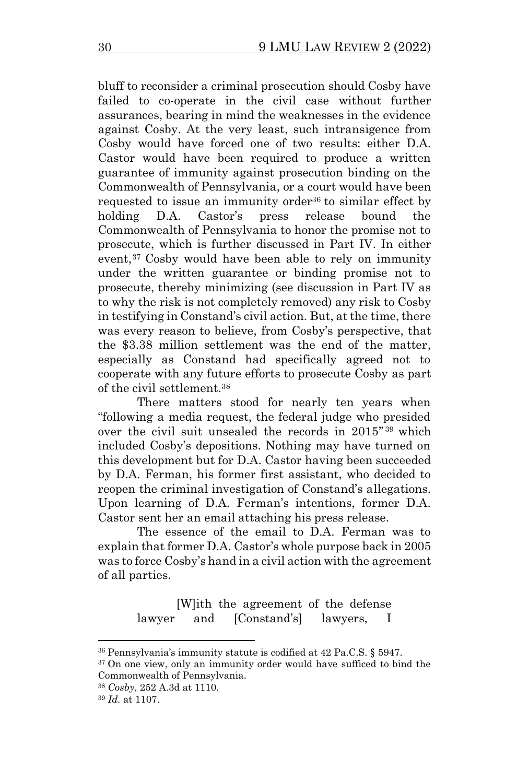bluff to reconsider a criminal prosecution should Cosby have failed to co-operate in the civil case without further assurances, bearing in mind the weaknesses in the evidence against Cosby. At the very least, such intransigence from Cosby would have forced one of two results: either D.A. Castor would have been required to produce a written guarantee of immunity against prosecution binding on the Commonwealth of Pennsylvania, or a court would have been requested to issue an immunity order<sup>36</sup> to similar effect by holding D.A. Castor's press release bound the Commonwealth of Pennsylvania to honor the promise not to prosecute, which is further discussed in Part IV. In either event,<sup>37</sup> Cosby would have been able to rely on immunity under the written guarantee or binding promise not to prosecute, thereby minimizing (see discussion in Part IV as to why the risk is not completely removed) any risk to Cosby in testifying in Constand's civil action. But, at the time, there was every reason to believe, from Cosby's perspective, that the \$3.38 million settlement was the end of the matter, especially as Constand had specifically agreed not to cooperate with any future efforts to prosecute Cosby as part of the civil settlement.<sup>38</sup>

There matters stood for nearly ten years when "following a media request, the federal judge who presided over the civil suit unsealed the records in 2015" <sup>39</sup> which included Cosby's depositions. Nothing may have turned on this development but for D.A. Castor having been succeeded by D.A. Ferman, his former first assistant, who decided to reopen the criminal investigation of Constand's allegations. Upon learning of D.A. Ferman's intentions, former D.A. Castor sent her an email attaching his press release.

The essence of the email to D.A. Ferman was to explain that former D.A. Castor's whole purpose back in 2005 was to force Cosby's hand in a civil action with the agreement of all parties.

> [W]ith the agreement of the defense lawyer and [Constand's] lawyers, I

<sup>36</sup> Pennsylvania's immunity statute is codified at 42 Pa.C.S. § 5947.

<sup>&</sup>lt;sup>37</sup> On one view, only an immunity order would have sufficed to bind the Commonwealth of Pennsylvania.

<sup>38</sup> *Cosby*, 252 A.3d at 1110.

<sup>39</sup> *Id.* at 1107.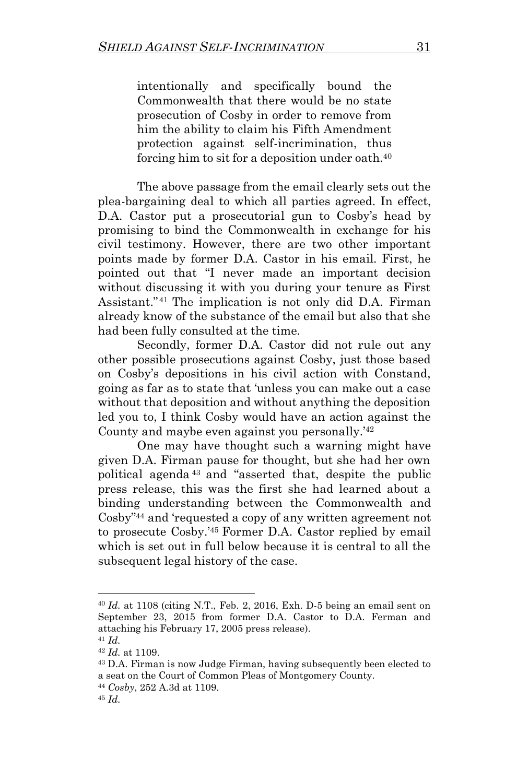intentionally and specifically bound the Commonwealth that there would be no state prosecution of Cosby in order to remove from him the ability to claim his Fifth Amendment protection against self-incrimination, thus forcing him to sit for a deposition under oath.<sup>40</sup>

The above passage from the email clearly sets out the plea-bargaining deal to which all parties agreed. In effect, D.A. Castor put a prosecutorial gun to Cosby's head by promising to bind the Commonwealth in exchange for his civil testimony. However, there are two other important points made by former D.A. Castor in his email. First, he pointed out that "I never made an important decision without discussing it with you during your tenure as First Assistant." <sup>41</sup> The implication is not only did D.A. Firman already know of the substance of the email but also that she had been fully consulted at the time.

Secondly, former D.A. Castor did not rule out any other possible prosecutions against Cosby, just those based on Cosby's depositions in his civil action with Constand, going as far as to state that 'unless you can make out a case without that deposition and without anything the deposition led you to, I think Cosby would have an action against the County and maybe even against you personally.'<sup>42</sup>

One may have thought such a warning might have given D.A. Firman pause for thought, but she had her own political agenda <sup>43</sup> and "asserted that, despite the public press release, this was the first she had learned about a binding understanding between the Commonwealth and Cosby" <sup>44</sup> and 'requested a copy of any written agreement not to prosecute Cosby.'<sup>45</sup> Former D.A. Castor replied by email which is set out in full below because it is central to all the subsequent legal history of the case.

<sup>40</sup> *Id.* at 1108 (citing N.T., Feb. 2, 2016, Exh. D-5 being an email sent on September 23, 2015 from former D.A. Castor to D.A. Ferman and attaching his February 17, 2005 press release).

<sup>41</sup> *Id.*

<sup>42</sup> *Id.* at 1109.

<sup>43</sup> D.A. Firman is now Judge Firman, having subsequently been elected to a seat on the Court of Common Pleas of Montgomery County.

<sup>44</sup> *Cosby*, 252 A.3d at 1109.

<sup>45</sup> *Id.*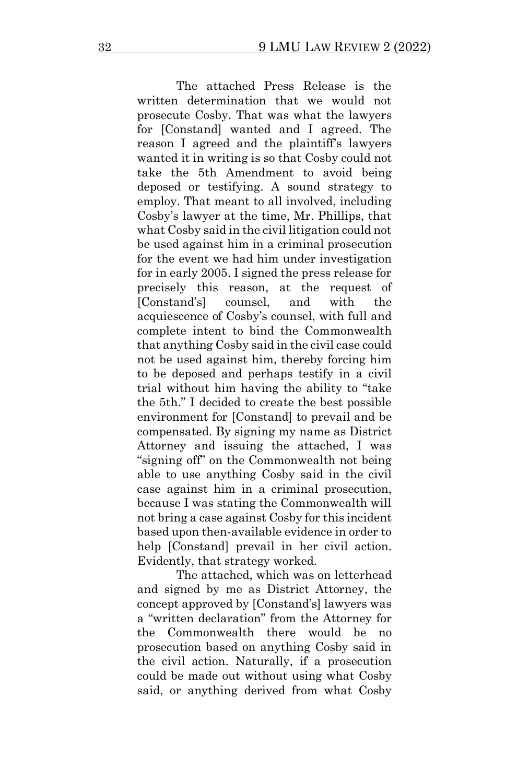The attached Press Release is the written determination that we would not prosecute Cosby. That was what the lawyers for [Constand] wanted and I agreed. The reason I agreed and the plaintiff's lawyers wanted it in writing is so that Cosby could not take the 5th Amendment to avoid being deposed or testifying. A sound strategy to employ. That meant to all involved, including Cosby's lawyer at the time, Mr. Phillips, that what Cosby said in the civil litigation could not be used against him in a criminal prosecution for the event we had him under investigation for in early 2005. I signed the press release for precisely this reason, at the request of [Constand's] counsel, and with the acquiescence of Cosby's counsel, with full and complete intent to bind the Commonwealth that anything Cosby said in the civil case could not be used against him, thereby forcing him to be deposed and perhaps testify in a civil trial without him having the ability to "take the 5th." I decided to create the best possible environment for [Constand] to prevail and be compensated. By signing my name as District Attorney and issuing the attached, I was "signing off" on the Commonwealth not being able to use anything Cosby said in the civil case against him in a criminal prosecution, because I was stating the Commonwealth will not bring a case against Cosby for this incident based upon then-available evidence in order to help [Constand] prevail in her civil action. Evidently, that strategy worked.

The attached, which was on letterhead and signed by me as District Attorney, the concept approved by [Constand's] lawyers was a "written declaration" from the Attorney for the Commonwealth there would be no prosecution based on anything Cosby said in the civil action. Naturally, if a prosecution could be made out without using what Cosby said, or anything derived from what Cosby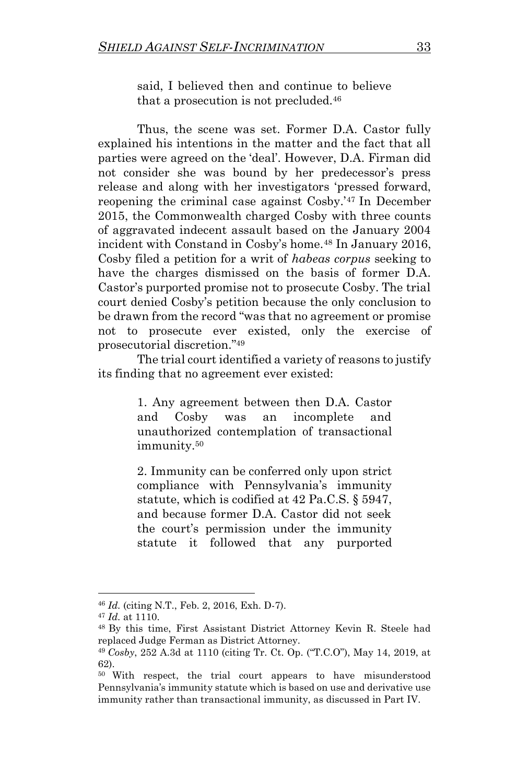said, I believed then and continue to believe that a prosecution is not precluded.<sup>46</sup>

Thus, the scene was set. Former D.A. Castor fully explained his intentions in the matter and the fact that all parties were agreed on the 'deal'. However, D.A. Firman did not consider she was bound by her predecessor's press release and along with her investigators 'pressed forward, reopening the criminal case against Cosby.'<sup>47</sup> In December 2015, the Commonwealth charged Cosby with three counts of aggravated indecent assault based on the January 2004 incident with Constand in Cosby's home.<sup>48</sup> In January 2016, Cosby filed a petition for a writ of *habeas corpus* seeking to have the charges dismissed on the basis of former D.A. Castor's purported promise not to prosecute Cosby. The trial court denied Cosby's petition because the only conclusion to be drawn from the record "was that no agreement or promise not to prosecute ever existed, only the exercise of prosecutorial discretion." 49

The trial court identified a variety of reasons to justify its finding that no agreement ever existed:

> 1. Any agreement between then D.A. Castor and Cosby was an incomplete and unauthorized contemplation of transactional immunity.<sup>50</sup>

> 2. Immunity can be conferred only upon strict compliance with Pennsylvania's immunity statute, which is codified at 42 Pa.C.S. § 5947, and because former D.A. Castor did not seek the court's permission under the immunity statute it followed that any purported

<sup>46</sup> *Id.* (citing N.T., Feb. 2, 2016, Exh. D-7).

<sup>47</sup> *Id.* at 1110.

<sup>48</sup> By this time, First Assistant District Attorney Kevin R. Steele had replaced Judge Ferman as District Attorney.

<sup>49</sup> *Cosby*, 252 A.3d at 1110 (citing Tr. Ct. Op. ("T.C.O"), May 14, 2019, at 62).

<sup>50</sup> With respect, the trial court appears to have misunderstood Pennsylvania's immunity statute which is based on use and derivative use immunity rather than transactional immunity, as discussed in Part IV.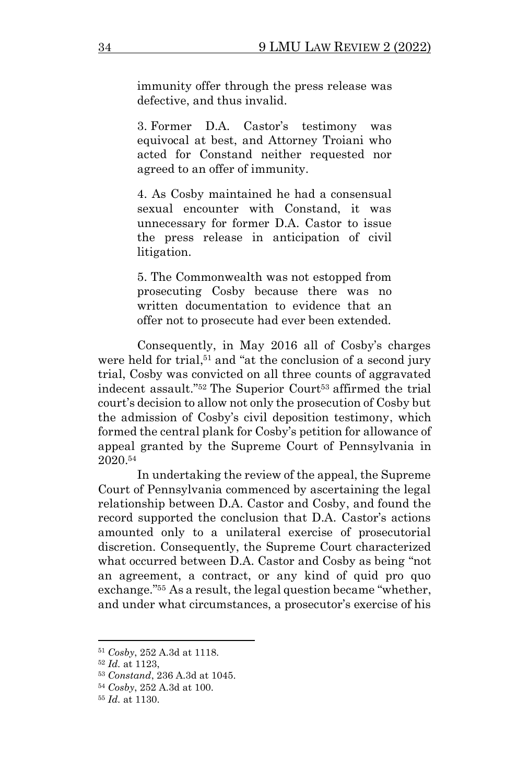immunity offer through the press release was defective, and thus invalid.

3. Former D.A. Castor's testimony was equivocal at best, and Attorney Troiani who acted for Constand neither requested nor agreed to an offer of immunity.

4. As Cosby maintained he had a consensual sexual encounter with Constand, it was unnecessary for former D.A. Castor to issue the press release in anticipation of civil litigation.

5. The Commonwealth was not estopped from prosecuting Cosby because there was no written documentation to evidence that an offer not to prosecute had ever been extended.

Consequently, in May 2016 all of Cosby's charges were held for trial, <sup>51</sup> and "at the conclusion of a second jury trial, Cosby was convicted on all three counts of aggravated indecent assault."<sup>52</sup> The Superior Court<sup>53</sup> affirmed the trial court's decision to allow not only the prosecution of Cosby but the admission of Cosby's civil deposition testimony, which formed the central plank for Cosby's petition for allowance of appeal granted by the Supreme Court of Pennsylvania in 2020.<sup>54</sup>

In undertaking the review of the appeal, the Supreme Court of Pennsylvania commenced by ascertaining the legal relationship between D.A. Castor and Cosby, and found the record supported the conclusion that D.A. Castor's actions amounted only to a unilateral exercise of prosecutorial discretion. Consequently, the Supreme Court characterized what occurred between D.A. Castor and Cosby as being "not an agreement, a contract, or any kind of quid pro quo exchange." <sup>55</sup> As a result, the legal question became "whether, and under what circumstances, a prosecutor's exercise of his

<sup>51</sup> *Cosby*, 252 A.3d at 1118.

<sup>52</sup> *Id.* at 1123,

<sup>53</sup> *Constand*, 236 A.3d at 1045.

<sup>54</sup> *Cosby*, 252 A.3d at 100.

<sup>55</sup> *Id.* at 1130.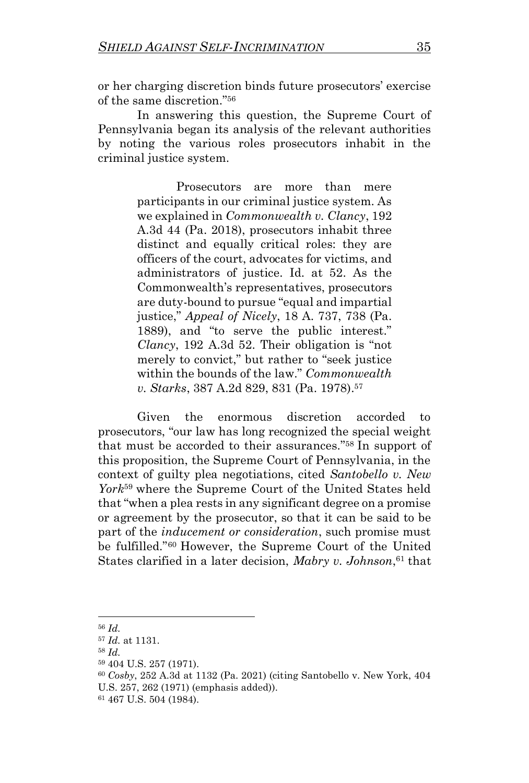or her charging discretion binds future prosecutors' exercise of the same discretion." 56

In answering this question, the Supreme Court of Pennsylvania began its analysis of the relevant authorities by noting the various roles prosecutors inhabit in the criminal justice system.

> Prosecutors are more than mere participants in our criminal justice system. As we explained in *Commonwealth v. Clancy*, 192 A.3d 44 (Pa. 2018), prosecutors inhabit three distinct and equally critical roles: they are officers of the court, advocates for victims, and administrators of justice. Id. at 52. As the Commonwealth's representatives, prosecutors are duty-bound to pursue "equal and impartial justice," *Appeal of Nicely*, 18 A. 737, 738 (Pa. 1889), and "to serve the public interest." *Clancy*, 192 A.3d 52. Their obligation is "not merely to convict," but rather to "seek justice within the bounds of the law." *Commonwealth v. Starks*, 387 A.2d 829, 831 (Pa. 1978).<sup>57</sup>

Given the enormous discretion accorded to prosecutors, "our law has long recognized the special weight that must be accorded to their assurances." <sup>58</sup> In support of this proposition, the Supreme Court of Pennsylvania, in the context of guilty plea negotiations, cited *Santobello v. New York*<sup>59</sup> where the Supreme Court of the United States held that "when a plea rests in any significant degree on a promise or agreement by the prosecutor, so that it can be said to be part of the *inducement or consideration*, such promise must be fulfilled." <sup>60</sup> However, the Supreme Court of the United States clarified in a later decision, *Mabry v. Johnson*, <sup>61</sup> that

<sup>56</sup> *Id.*

<sup>57</sup> *Id.* at 1131.

<sup>58</sup> *Id.*

<sup>59</sup> 404 U.S. 257 (1971).

<sup>60</sup> *Cosby*, 252 A.3d at 1132 (Pa. 2021) (citing Santobello v. New York, 404 U.S. 257, 262 (1971) (emphasis added)).

<sup>61</sup> 467 U.S. 504 (1984).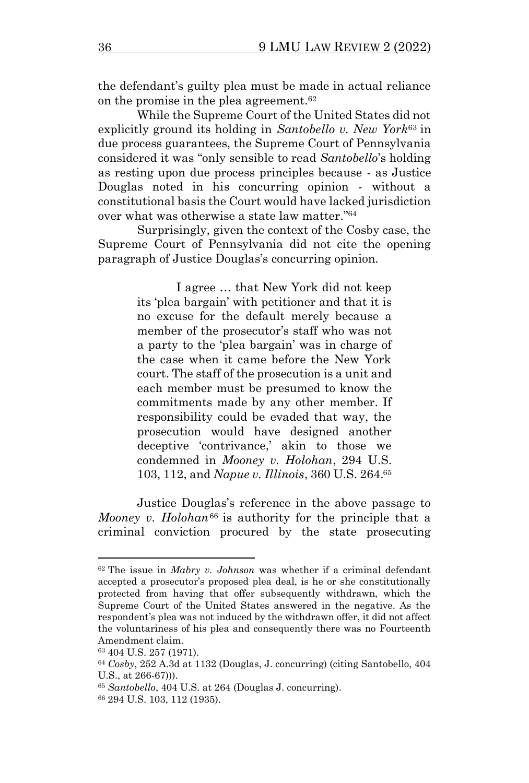the defendant's guilty plea must be made in actual reliance on the promise in the plea agreement.<sup>62</sup>

While the Supreme Court of the United States did not explicitly ground its holding in *Santobello v. New York*<sup>63</sup> in due process guarantees, the Supreme Court of Pennsylvania considered it was "only sensible to read *Santobello*'s holding as resting upon due process principles because - as Justice Douglas noted in his concurring opinion - without a constitutional basis the Court would have lacked jurisdiction over what was otherwise a state law matter." 64

Surprisingly, given the context of the Cosby case, the Supreme Court of Pennsylvania did not cite the opening paragraph of Justice Douglas's concurring opinion.

> I agree … that New York did not keep its 'plea bargain' with petitioner and that it is no excuse for the default merely because a member of the prosecutor's staff who was not a party to the 'plea bargain' was in charge of the case when it came before the New York court. The staff of the prosecution is a unit and each member must be presumed to know the commitments made by any other member. If responsibility could be evaded that way, the prosecution would have designed another deceptive 'contrivance,' akin to those we condemned in *Mooney v. Holohan*, 294 U.S. 103, 112, and *Napue v. Illinois*, 360 U.S. 264.<sup>65</sup>

Justice Douglas's reference in the above passage to *Mooney v. Holohan*<sup>66</sup> is authority for the principle that a criminal conviction procured by the state prosecuting

<sup>62</sup> The issue in *Mabry v. Johnson* was whether if a criminal defendant accepted a prosecutor's proposed plea deal, is he or she constitutionally protected from having that offer subsequently withdrawn, which the Supreme Court of the United States answered in the negative. As the respondent's plea was not induced by the withdrawn offer, it did not affect the voluntariness of his plea and consequently there was no Fourteenth Amendment claim.

<sup>63</sup> 404 U.S. 257 (1971).

<sup>64</sup> *Cosby*, 252 A.3d at 1132 (Douglas, J. concurring) (citing Santobello, 404 U.S., at 266-67))).

<sup>65</sup> *Santobello*, 404 U.S. at 264 (Douglas J. concurring).

<sup>66</sup> 294 U.S. 103, 112 (1935).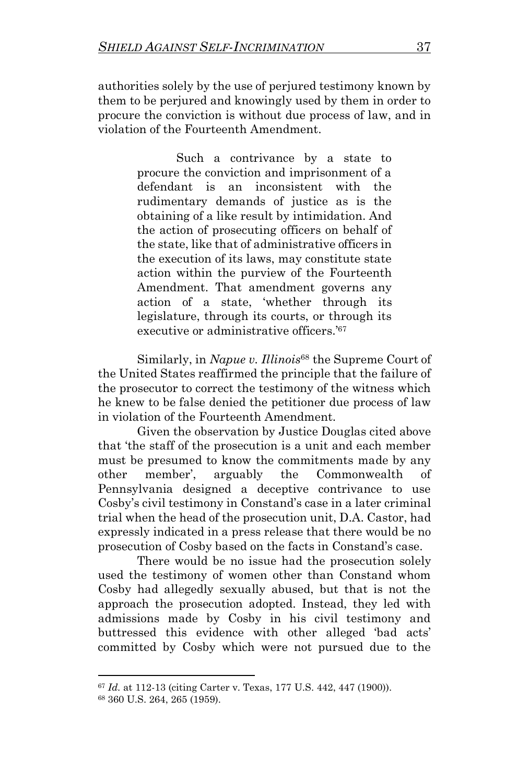authorities solely by the use of perjured testimony known by them to be perjured and knowingly used by them in order to procure the conviction is without due process of law, and in violation of the Fourteenth Amendment.

> Such a contrivance by a state to procure the conviction and imprisonment of a defendant is an inconsistent with the rudimentary demands of justice as is the obtaining of a like result by intimidation. And the action of prosecuting officers on behalf of the state, like that of administrative officers in the execution of its laws, may constitute state action within the purview of the Fourteenth Amendment. That amendment governs any action of a state, 'whether through its legislature, through its courts, or through its executive or administrative officers.'<sup>67</sup>

Similarly, in *Napue v. Illinois*<sup>68</sup> the Supreme Court of the United States reaffirmed the principle that the failure of the prosecutor to correct the testimony of the witness which he knew to be false denied the petitioner due process of law in violation of the Fourteenth Amendment.

Given the observation by Justice Douglas cited above that 'the staff of the prosecution is a unit and each member must be presumed to know the commitments made by any other member', arguably the Commonwealth of Pennsylvania designed a deceptive contrivance to use Cosby's civil testimony in Constand's case in a later criminal trial when the head of the prosecution unit, D.A. Castor, had expressly indicated in a press release that there would be no prosecution of Cosby based on the facts in Constand's case.

There would be no issue had the prosecution solely used the testimony of women other than Constand whom Cosby had allegedly sexually abused, but that is not the approach the prosecution adopted. Instead, they led with admissions made by Cosby in his civil testimony and buttressed this evidence with other alleged 'bad acts' committed by Cosby which were not pursued due to the

<sup>67</sup> *Id.* at 112-13 (citing Carter v. Texas, 177 U.S. 442, 447 (1900)).

<sup>68</sup> 360 U.S. 264, 265 (1959).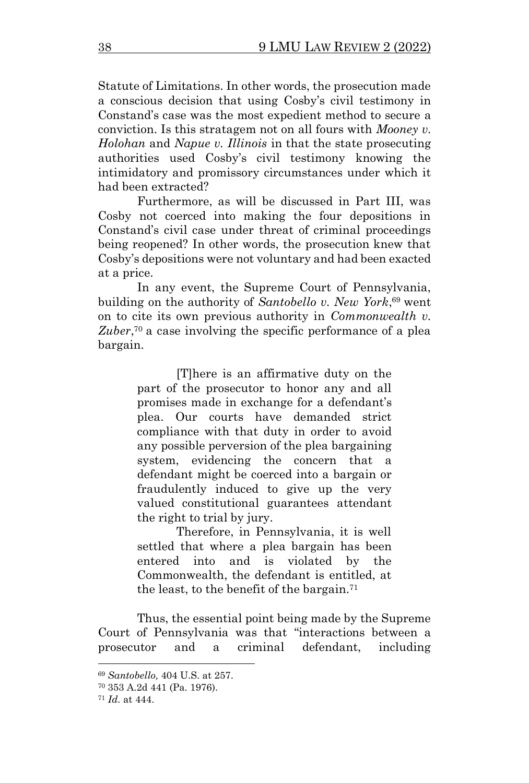Statute of Limitations. In other words, the prosecution made a conscious decision that using Cosby's civil testimony in Constand's case was the most expedient method to secure a conviction. Is this stratagem not on all fours with *Mooney v. Holohan* and *Napue v. Illinois* in that the state prosecuting authorities used Cosby's civil testimony knowing the intimidatory and promissory circumstances under which it had been extracted?

Furthermore, as will be discussed in Part III, was Cosby not coerced into making the four depositions in Constand's civil case under threat of criminal proceedings being reopened? In other words, the prosecution knew that Cosby's depositions were not voluntary and had been exacted at a price.

In any event, the Supreme Court of Pennsylvania, building on the authority of *Santobello v. New York*, <sup>69</sup> went on to cite its own previous authority in *Commonwealth v.*  Zuber,<sup>70</sup> a case involving the specific performance of a plea bargain.

> [T]here is an affirmative duty on the part of the prosecutor to honor any and all promises made in exchange for a defendant's plea. Our courts have demanded strict compliance with that duty in order to avoid any possible perversion of the plea bargaining system, evidencing the concern that a defendant might be coerced into a bargain or fraudulently induced to give up the very valued constitutional guarantees attendant the right to trial by jury.

> Therefore, in Pennsylvania, it is well settled that where a plea bargain has been entered into and is violated by the Commonwealth, the defendant is entitled, at the least, to the benefit of the bargain.<sup>71</sup>

Thus, the essential point being made by the Supreme Court of Pennsylvania was that "interactions between a prosecutor and a criminal defendant, including

<sup>69</sup> *Santobello,* 404 U.S. at 257.

<sup>70</sup> 353 A.2d 441 (Pa. 1976).

<sup>71</sup> *Id.* at 444.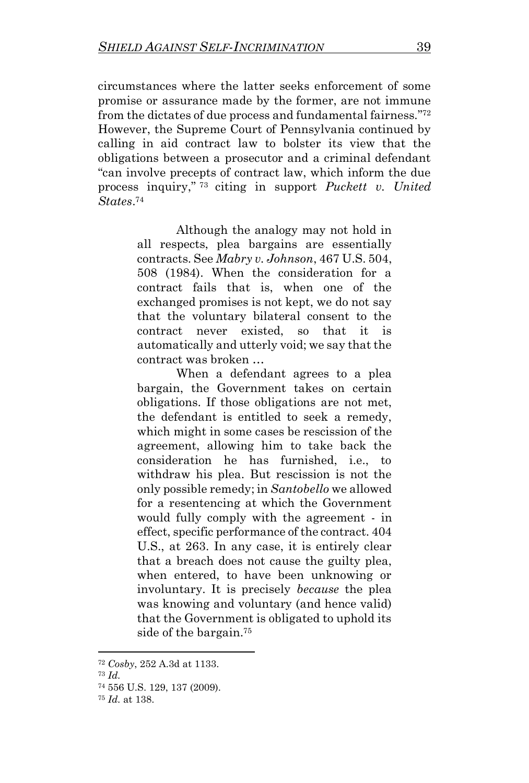circumstances where the latter seeks enforcement of some promise or assurance made by the former, are not immune from the dictates of due process and fundamental fairness."72 However, the Supreme Court of Pennsylvania continued by calling in aid contract law to bolster its view that the obligations between a prosecutor and a criminal defendant "can involve precepts of contract law, which inform the due process inquiry," <sup>73</sup> citing in support *Puckett v. United States*. 74

> Although the analogy may not hold in all respects, plea bargains are essentially contracts. See *Mabry v. Johnson*, 467 U.S. 504, 508 (1984). When the consideration for a contract fails that is, when one of the exchanged promises is not kept, we do not say that the voluntary bilateral consent to the contract never existed, so that it is automatically and utterly void; we say that the contract was broken …

> When a defendant agrees to a plea bargain, the Government takes on certain obligations. If those obligations are not met, the defendant is entitled to seek a remedy, which might in some cases be rescission of the agreement, allowing him to take back the consideration he has furnished, i.e., to withdraw his plea. But rescission is not the only possible remedy; in *Santobello* we allowed for a resentencing at which the Government would fully comply with the agreement - in effect, specific performance of the contract. 404 U.S., at 263. In any case, it is entirely clear that a breach does not cause the guilty plea, when entered, to have been unknowing or involuntary. It is precisely *because* the plea was knowing and voluntary (and hence valid) that the Government is obligated to uphold its side of the bargain.<sup>75</sup>

<sup>72</sup> *Cosby*, 252 A.3d at 1133.

<sup>73</sup> *Id.*

<sup>74</sup> 556 U.S. 129, 137 (2009).

<sup>75</sup> *Id.* at 138.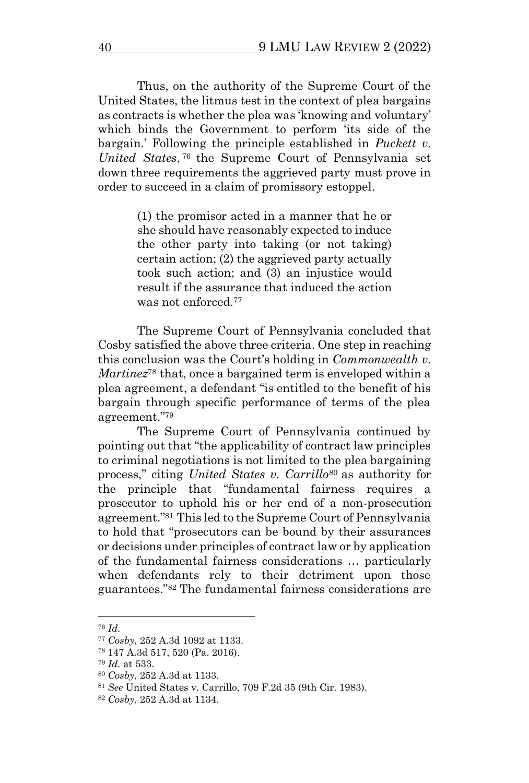Thus, on the authority of the Supreme Court of the United States, the litmus test in the context of plea bargains as contracts is whether the plea was 'knowing and voluntary' which binds the Government to perform 'its side of the bargain.' Following the principle established in *Puckett v. United States*, <sup>76</sup> the Supreme Court of Pennsylvania set down three requirements the aggrieved party must prove in order to succeed in a claim of promissory estoppel.

> (1) the promisor acted in a manner that he or she should have reasonably expected to induce the other party into taking (or not taking) certain action; (2) the aggrieved party actually took such action; and (3) an injustice would result if the assurance that induced the action was not enforced.<sup>77</sup>

The Supreme Court of Pennsylvania concluded that Cosby satisfied the above three criteria. One step in reaching this conclusion was the Court's holding in *Commonwealth v. Martinez*<sup>78</sup> that, once a bargained term is enveloped within a plea agreement, a defendant "is entitled to the benefit of his bargain through specific performance of terms of the plea agreement." 79

The Supreme Court of Pennsylvania continued by pointing out that "the applicability of contract law principles to criminal negotiations is not limited to the plea bargaining process," citing *United States v. Carrillo*<sup>80</sup> as authority for the principle that "fundamental fairness requires a prosecutor to uphold his or her end of a non-prosecution agreement." <sup>81</sup> This led to the Supreme Court of Pennsylvania to hold that "prosecutors can be bound by their assurances or decisions under principles of contract law or by application of the fundamental fairness considerations … particularly when defendants rely to their detriment upon those guarantees." <sup>82</sup> The fundamental fairness considerations are

<sup>76</sup> *Id.*

<sup>77</sup> *Cosby*, 252 A.3d 1092 at 1133.

<sup>78</sup> 147 A.3d 517, 520 (Pa. 2016).

<sup>79</sup> *Id.* at 533.

<sup>80</sup> *Cosby*, 252 A.3d at 1133.

<sup>81</sup> *See* United States v. Carrillo, 709 F.2d 35 (9th Cir. 1983).

<sup>82</sup> *Cosby*, 252 A.3d at 1134.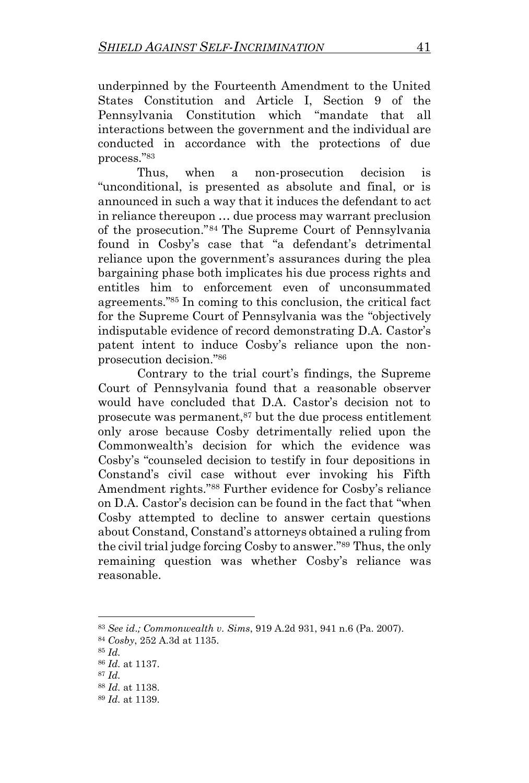underpinned by the Fourteenth Amendment to the United States Constitution and Article I, Section 9 of the Pennsylvania Constitution which "mandate that all interactions between the government and the individual are conducted in accordance with the protections of due process." 83

Thus, when a non-prosecution decision is "unconditional, is presented as absolute and final, or is announced in such a way that it induces the defendant to act in reliance thereupon … due process may warrant preclusion of the prosecution."<sup>84</sup> The Supreme Court of Pennsylvania found in Cosby's case that "a defendant's detrimental reliance upon the government's assurances during the plea bargaining phase both implicates his due process rights and entitles him to enforcement even of unconsummated agreements." <sup>85</sup> In coming to this conclusion, the critical fact for the Supreme Court of Pennsylvania was the "objectively indisputable evidence of record demonstrating D.A. Castor's patent intent to induce Cosby's reliance upon the nonprosecution decision." 86

Contrary to the trial court's findings, the Supreme Court of Pennsylvania found that a reasonable observer would have concluded that D.A. Castor's decision not to prosecute was permanent, $87$  but the due process entitlement only arose because Cosby detrimentally relied upon the Commonwealth's decision for which the evidence was Cosby's "counseled decision to testify in four depositions in Constand's civil case without ever invoking his Fifth Amendment rights." <sup>88</sup> Further evidence for Cosby's reliance on D.A. Castor's decision can be found in the fact that "when Cosby attempted to decline to answer certain questions about Constand, Constand's attorneys obtained a ruling from the civil trial judge forcing Cosby to answer." <sup>89</sup> Thus, the only remaining question was whether Cosby's reliance was reasonable.

<sup>83</sup> *See id*.*; Commonwealth v. Sims*, 919 A.2d 931, 941 n.6 (Pa. 2007).

<sup>84</sup> *Cosby*, 252 A.3d at 1135.

<sup>85</sup> *Id.*

<sup>86</sup> *Id.* at 1137.

<sup>87</sup> *Id.*

<sup>88</sup> *Id.* at 1138.

<sup>89</sup> *Id.* at 1139.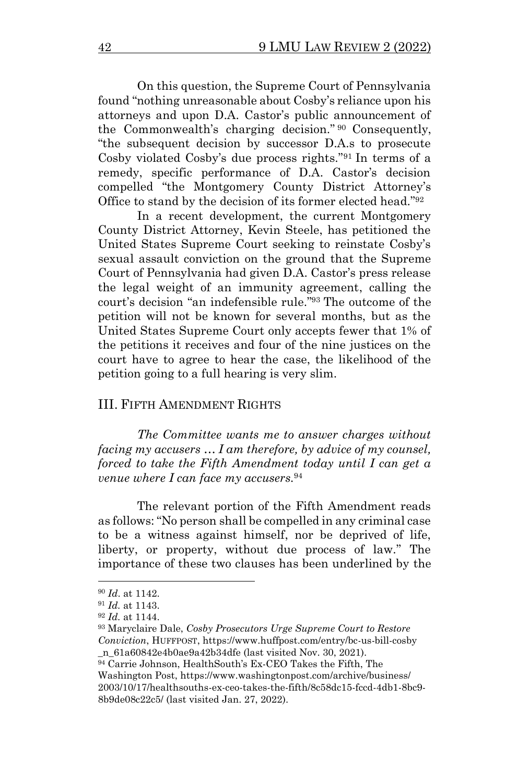On this question, the Supreme Court of Pennsylvania found "nothing unreasonable about Cosby's reliance upon his attorneys and upon D.A. Castor's public announcement of the Commonwealth's charging decision." <sup>90</sup> Consequently, "the subsequent decision by successor D.A.s to prosecute Cosby violated Cosby's due process rights." <sup>91</sup> In terms of a remedy, specific performance of D.A. Castor's decision compelled "the Montgomery County District Attorney's Office to stand by the decision of its former elected head."<sup>92</sup>

In a recent development, the current Montgomery County District Attorney, Kevin Steele, has petitioned the United States Supreme Court seeking to reinstate Cosby's sexual assault conviction on the ground that the Supreme Court of Pennsylvania had given D.A. Castor's press release the legal weight of an immunity agreement, calling the court's decision "an indefensible rule." <sup>93</sup> The outcome of the petition will not be known for several months, but as the United States Supreme Court only accepts fewer that 1% of the petitions it receives and four of the nine justices on the court have to agree to hear the case, the likelihood of the petition going to a full hearing is very slim.

### III. FIFTH AMENDMENT RIGHTS

*The Committee wants me to answer charges without facing my accusers … I am therefore, by advice of my counsel, forced to take the Fifth Amendment today until I can get a venue where I can face my accusers.*<sup>94</sup>

The relevant portion of the Fifth Amendment reads as follows: "No person shall be compelled in any criminal case to be a witness against himself, nor be deprived of life, liberty, or property, without due process of law." The importance of these two clauses has been underlined by the

<sup>90</sup> *Id*. at 1142.

<sup>91</sup> *Id.* at 1143.

<sup>92</sup> *Id.* at 1144.

<sup>93</sup> Maryclaire Dale, *Cosby Prosecutors Urge Supreme Court to Restore Conviction*, HUFFPOST, https://www.huffpost.com/entry/bc-us-bill-cosby \_n\_61a60842e4b0ae9a42b34dfe (last visited Nov. 30, 2021).

<sup>94</sup> Carrie Johnson, HealthSouth's Ex-CEO Takes the Fifth, The

Washington Post, https://www.washingtonpost.com/archive/business/ 2003/10/17/healthsouths-ex-ceo-takes-the-fifth/8c58dc15-fccd-4db1-8bc9- 8b9de08c22c5/ (last visited Jan. 27, 2022).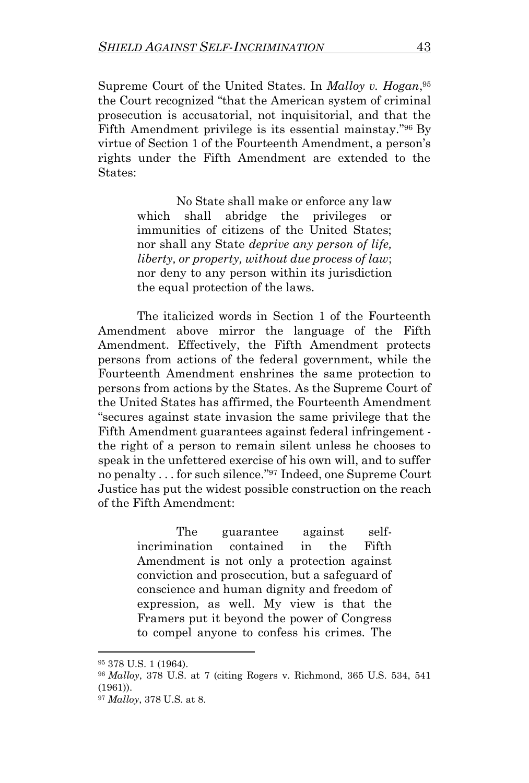Supreme Court of the United States. In *Malloy v. Hogan*, 95 the Court recognized "that the American system of criminal prosecution is accusatorial, not inquisitorial, and that the Fifth Amendment privilege is its essential mainstay."<sup>96</sup> By virtue of Section 1 of the Fourteenth Amendment, a person's rights under the Fifth Amendment are extended to the States:

> No State shall make or enforce any law which shall abridge the privileges or immunities of citizens of the United States; nor shall any State *deprive any person of life, liberty, or property, without due process of law*; nor deny to any person within its jurisdiction the equal protection of the laws.

The italicized words in Section 1 of the Fourteenth Amendment above mirror the language of the Fifth Amendment. Effectively, the Fifth Amendment protects persons from actions of the federal government, while the Fourteenth Amendment enshrines the same protection to persons from actions by the States. As the Supreme Court of the United States has affirmed, the Fourteenth Amendment "secures against state invasion the same privilege that the Fifth Amendment guarantees against federal infringement the right of a person to remain silent unless he chooses to speak in the unfettered exercise of his own will, and to suffer no penalty . . . for such silence." <sup>97</sup> Indeed, one Supreme Court Justice has put the widest possible construction on the reach of the Fifth Amendment:

> The guarantee against selfincrimination contained in the Fifth Amendment is not only a protection against conviction and prosecution, but a safeguard of conscience and human dignity and freedom of expression, as well. My view is that the Framers put it beyond the power of Congress to compel anyone to confess his crimes. The

<sup>95</sup> 378 U.S. 1 (1964).

<sup>96</sup> *Malloy*, 378 U.S. at 7 (citing Rogers v. Richmond, 365 U.S. 534, 541 (1961)).

<sup>97</sup> *Malloy*, 378 U.S. at 8.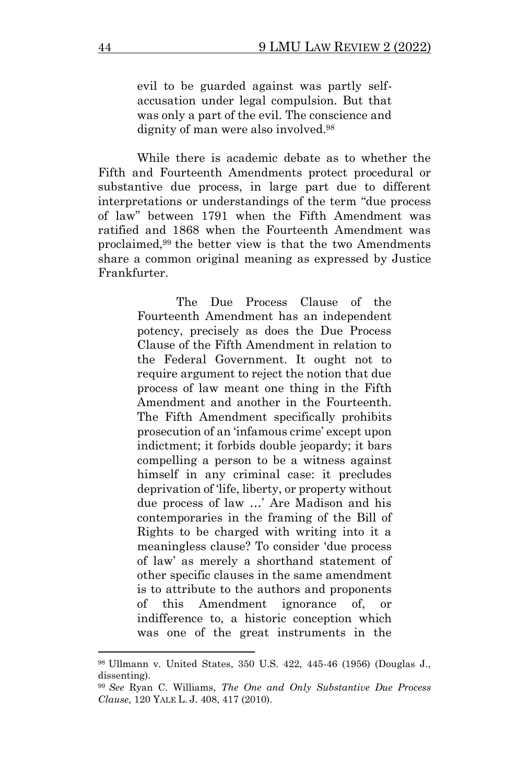evil to be guarded against was partly selfaccusation under legal compulsion. But that was only a part of the evil. The conscience and dignity of man were also involved.<sup>98</sup>

While there is academic debate as to whether the Fifth and Fourteenth Amendments protect procedural or substantive due process, in large part due to different interpretations or understandings of the term "due process of law" between 1791 when the Fifth Amendment was ratified and 1868 when the Fourteenth Amendment was proclaimed,<sup>99</sup> the better view is that the two Amendments share a common original meaning as expressed by Justice Frankfurter.

> The Due Process Clause of the Fourteenth Amendment has an independent potency, precisely as does the Due Process Clause of the Fifth Amendment in relation to the Federal Government. It ought not to require argument to reject the notion that due process of law meant one thing in the Fifth Amendment and another in the Fourteenth. The Fifth Amendment specifically prohibits prosecution of an 'infamous crime' except upon indictment; it forbids double jeopardy; it bars compelling a person to be a witness against himself in any criminal case: it precludes deprivation of 'life, liberty, or property without due process of law …' Are Madison and his contemporaries in the framing of the Bill of Rights to be charged with writing into it a meaningless clause? To consider 'due process of law' as merely a shorthand statement of other specific clauses in the same amendment is to attribute to the authors and proponents of this Amendment ignorance of, or indifference to, a historic conception which was one of the great instruments in the

<sup>98</sup> Ullmann v. United States, 350 U.S. 422, 445-46 (1956) (Douglas J., dissenting).

<sup>99</sup> *See* Ryan C. Williams, *The One and Only Substantive Due Process Clause*, 120 YALE L. J. 408, 417 (2010).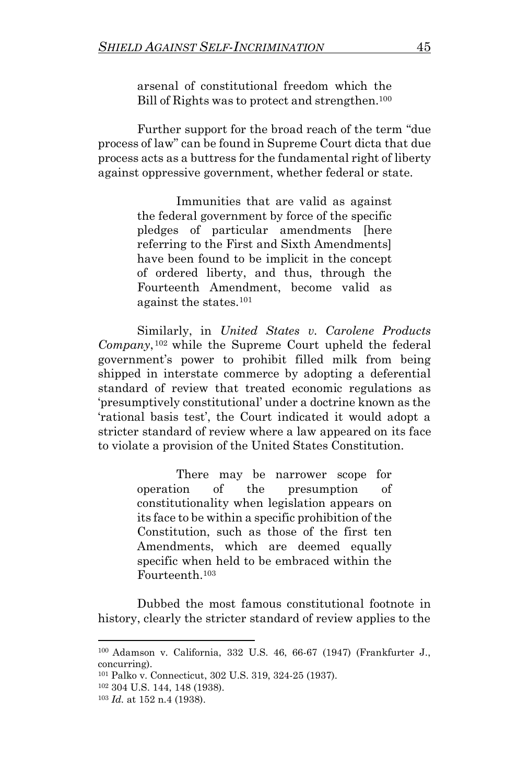arsenal of constitutional freedom which the Bill of Rights was to protect and strengthen.<sup>100</sup>

Further support for the broad reach of the term "due process of law" can be found in Supreme Court dicta that due process acts as a buttress for the fundamental right of liberty against oppressive government, whether federal or state.

> Immunities that are valid as against the federal government by force of the specific pledges of particular amendments [here referring to the First and Sixth Amendments] have been found to be implicit in the concept of ordered liberty, and thus, through the Fourteenth Amendment, become valid as against the states.<sup>101</sup>

Similarly, in *United States v. Carolene Products Company*, <sup>102</sup> while the Supreme Court upheld the federal government's power to prohibit filled milk from being shipped in interstate commerce by adopting a deferential standard of review that treated economic regulations as 'presumptively constitutional' under a doctrine known as the 'rational basis test', the Court indicated it would adopt a stricter standard of review where a law appeared on its face to violate a provision of the United States Constitution.

> There may be narrower scope for operation of the presumption of constitutionality when legislation appears on its face to be within a specific prohibition of the Constitution, such as those of the first ten Amendments, which are deemed equally specific when held to be embraced within the Fourteenth.<sup>103</sup>

Dubbed the most famous constitutional footnote in history, clearly the stricter standard of review applies to the

<sup>100</sup> Adamson v. California, 332 U.S. 46, 66-67 (1947) (Frankfurter J., concurring).

<sup>101</sup> Palko v. Connecticut, 302 U.S. 319, 324-25 (1937).

<sup>102</sup> 304 U.S. 144, 148 (1938).

<sup>103</sup> *Id.* at 152 n.4 (1938).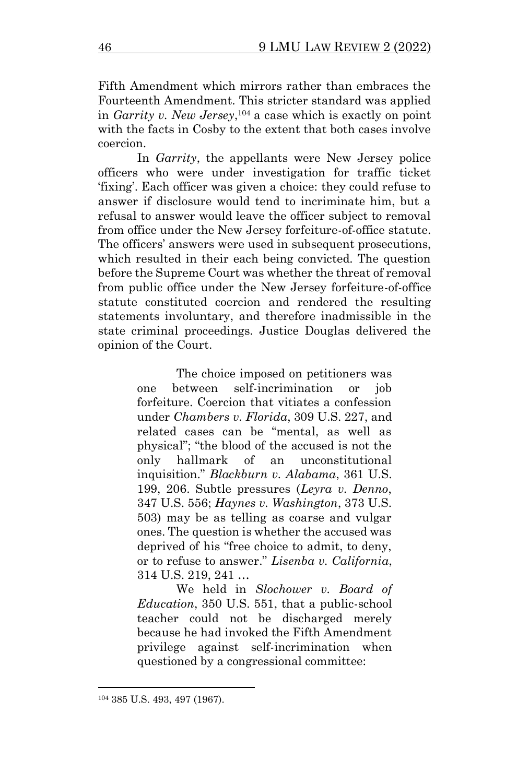Fifth Amendment which mirrors rather than embraces the Fourteenth Amendment. This stricter standard was applied in *Garrity v. New Jersey*, <sup>104</sup> a case which is exactly on point with the facts in Cosby to the extent that both cases involve coercion.

In *Garrity*, the appellants were New Jersey police officers who were under investigation for traffic ticket 'fixing'. Each officer was given a choice: they could refuse to answer if disclosure would tend to incriminate him, but a refusal to answer would leave the officer subject to removal from office under the New Jersey forfeiture-of-office statute. The officers' answers were used in subsequent prosecutions, which resulted in their each being convicted. The question before the Supreme Court was whether the threat of removal from public office under the New Jersey forfeiture-of-office statute constituted coercion and rendered the resulting statements involuntary, and therefore inadmissible in the state criminal proceedings. Justice Douglas delivered the opinion of the Court.

> The choice imposed on petitioners was one between self-incrimination or job forfeiture. Coercion that vitiates a confession under *Chambers v. Florida*, 309 U.S. 227, and related cases can be "mental, as well as physical"; "the blood of the accused is not the only hallmark of an unconstitutional inquisition." *Blackburn v. Alabama*, 361 U.S. 199, 206. Subtle pressures (*Leyra v. Denno*, 347 U.S. 556; *Haynes v. Washington*, 373 U.S. 503) may be as telling as coarse and vulgar ones. The question is whether the accused was deprived of his "free choice to admit, to deny, or to refuse to answer." *Lisenba v. California*, 314 U.S. 219, 241 …

> We held in *Slochower v. Board of Education*, 350 U.S. 551, that a public-school teacher could not be discharged merely because he had invoked the Fifth Amendment privilege against self-incrimination when questioned by a congressional committee:

<sup>104</sup> 385 U.S. 493, 497 (1967).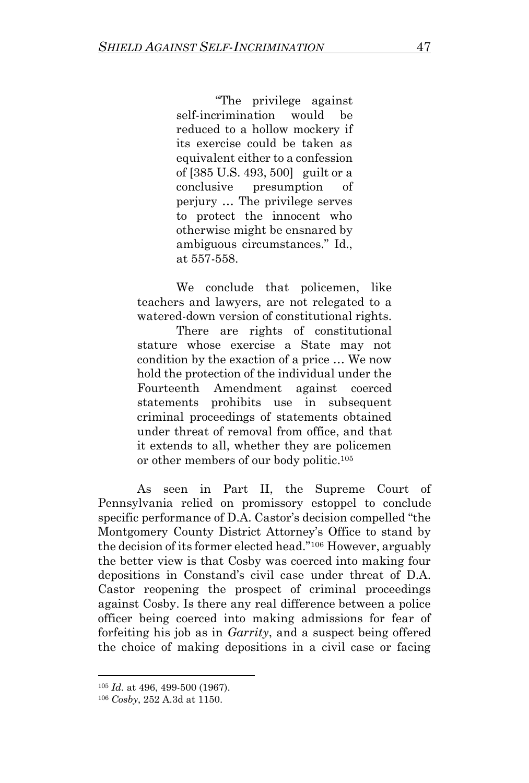"The privilege against self-incrimination would be reduced to a hollow mockery if its exercise could be taken as equivalent either to a confession of [385 U.S. 493, 500] guilt or a conclusive presumption of perjury … The privilege serves to protect the innocent who otherwise might be ensnared by ambiguous circumstances." Id., at 557-558.

We conclude that policemen, like teachers and lawyers, are not relegated to a watered-down version of constitutional rights.

There are rights of constitutional stature whose exercise a State may not condition by the exaction of a price … We now hold the protection of the individual under the Fourteenth Amendment against coerced statements prohibits use in subsequent criminal proceedings of statements obtained under threat of removal from office, and that it extends to all, whether they are policemen or other members of our body politic.<sup>105</sup>

As seen in Part II, the Supreme Court of Pennsylvania relied on promissory estoppel to conclude specific performance of D.A. Castor's decision compelled "the Montgomery County District Attorney's Office to stand by the decision of its former elected head." <sup>106</sup> However, arguably the better view is that Cosby was coerced into making four depositions in Constand's civil case under threat of D.A. Castor reopening the prospect of criminal proceedings against Cosby. Is there any real difference between a police officer being coerced into making admissions for fear of forfeiting his job as in *Garrity*, and a suspect being offered the choice of making depositions in a civil case or facing

<sup>105</sup> *Id.* at 496, 499-500 (1967).

<sup>106</sup> *Cosby*, 252 A.3d at 1150.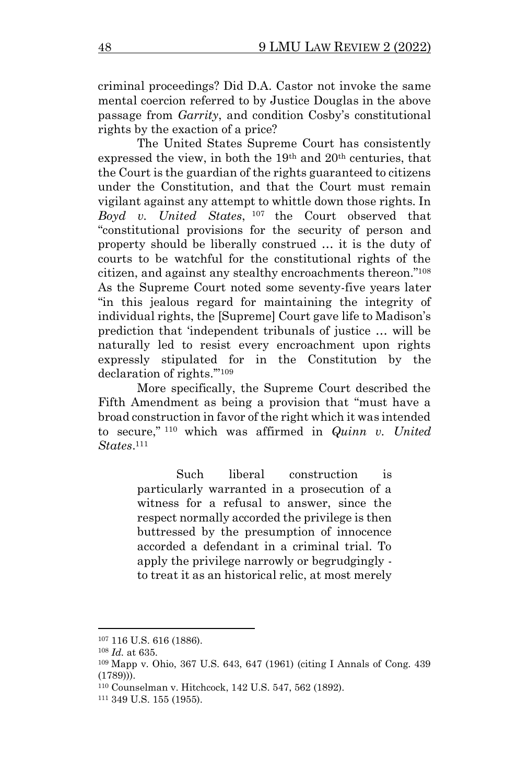criminal proceedings? Did D.A. Castor not invoke the same mental coercion referred to by Justice Douglas in the above passage from *Garrity*, and condition Cosby's constitutional rights by the exaction of a price?

The United States Supreme Court has consistently expressed the view, in both the 19th and 20th centuries, that the Court is the guardian of the rights guaranteed to citizens under the Constitution, and that the Court must remain vigilant against any attempt to whittle down those rights. In *Boyd v. United States*, <sup>107</sup> the Court observed that "constitutional provisions for the security of person and property should be liberally construed … it is the duty of courts to be watchful for the constitutional rights of the citizen, and against any stealthy encroachments thereon." 108 As the Supreme Court noted some seventy-five years later "in this jealous regard for maintaining the integrity of individual rights, the [Supreme] Court gave life to Madison's prediction that 'independent tribunals of justice … will be naturally led to resist every encroachment upon rights expressly stipulated for in the Constitution by the declaration of rights.'"<sup>109</sup>

More specifically, the Supreme Court described the Fifth Amendment as being a provision that "must have a broad construction in favor of the right which it was intended to secure," <sup>110</sup> which was affirmed in *Quinn v. United States*. 111

> Such liberal construction is particularly warranted in a prosecution of a witness for a refusal to answer, since the respect normally accorded the privilege is then buttressed by the presumption of innocence accorded a defendant in a criminal trial. To apply the privilege narrowly or begrudgingly to treat it as an historical relic, at most merely

<sup>107</sup> 116 U.S. 616 (1886).

<sup>108</sup> *Id.* at 635.

<sup>109</sup> Mapp v. Ohio, 367 U.S. 643, 647 (1961) (citing I Annals of Cong. 439 (1789))).

<sup>110</sup> Counselman v. Hitchcock, 142 U.S. 547, 562 (1892).

<sup>111</sup> 349 U.S. 155 (1955).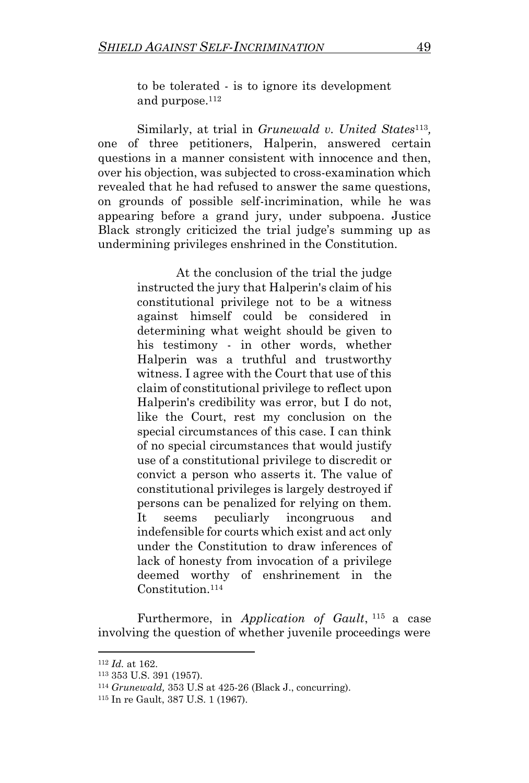to be tolerated - is to ignore its development and purpose.<sup>112</sup>

Similarly, at trial in *Grunewald v. United States*<sup>113</sup>, one of three petitioners, Halperin, answered certain questions in a manner consistent with innocence and then, over his objection, was subjected to cross-examination which revealed that he had refused to answer the same questions, on grounds of possible self-incrimination, while he was appearing before a grand jury, under subpoena. Justice Black strongly criticized the trial judge's summing up as undermining privileges enshrined in the Constitution.

> At the conclusion of the trial the judge instructed the jury that Halperin's claim of his constitutional privilege not to be a witness against himself could be considered in determining what weight should be given to his testimony - in other words, whether Halperin was a truthful and trustworthy witness. I agree with the Court that use of this claim of constitutional privilege to reflect upon Halperin's credibility was error, but I do not, like the Court, rest my conclusion on the special circumstances of this case. I can think of no special circumstances that would justify use of a constitutional privilege to discredit or convict a person who asserts it. The value of constitutional privileges is largely destroyed if persons can be penalized for relying on them. It seems peculiarly incongruous and indefensible for courts which exist and act only under the Constitution to draw inferences of lack of honesty from invocation of a privilege deemed worthy of enshrinement in the Constitution.<sup>114</sup>

Furthermore, in *Application of Gault*, <sup>115</sup> a case involving the question of whether juvenile proceedings were

<sup>112</sup> *Id.* at 162.

<sup>113</sup> 353 U.S. 391 (1957).

<sup>114</sup> *Grunewald,* 353 U.S at 425-26 (Black J., concurring).

<sup>115</sup> In re Gault, 387 U.S. 1 (1967).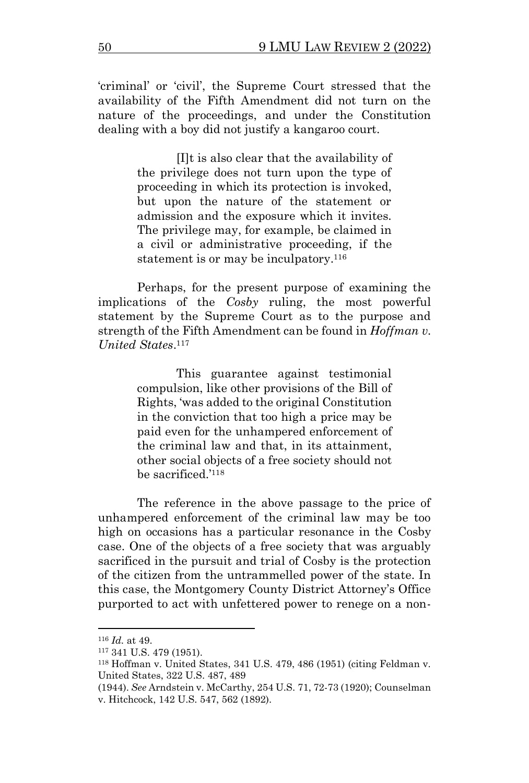'criminal' or 'civil', the Supreme Court stressed that the availability of the Fifth Amendment did not turn on the nature of the proceedings, and under the Constitution dealing with a boy did not justify a kangaroo court.

> [I]t is also clear that the availability of the privilege does not turn upon the type of proceeding in which its protection is invoked, but upon the nature of the statement or admission and the exposure which it invites. The privilege may, for example, be claimed in a civil or administrative proceeding, if the statement is or may be inculpatory.<sup>116</sup>

Perhaps, for the present purpose of examining the implications of the *Cosby* ruling, the most powerful statement by the Supreme Court as to the purpose and strength of the Fifth Amendment can be found in *Hoffman v. United States*. 117

> This guarantee against testimonial compulsion, like other provisions of the Bill of Rights, 'was added to the original Constitution in the conviction that too high a price may be paid even for the unhampered enforcement of the criminal law and that, in its attainment, other social objects of a free society should not be sacrificed.'<sup>118</sup>

The reference in the above passage to the price of unhampered enforcement of the criminal law may be too high on occasions has a particular resonance in the Cosby case. One of the objects of a free society that was arguably sacrificed in the pursuit and trial of Cosby is the protection of the citizen from the untrammelled power of the state. In this case, the Montgomery County District Attorney's Office purported to act with unfettered power to renege on a non-

<sup>116</sup> *Id.* at 49.

<sup>117</sup> 341 U.S. 479 (1951).

<sup>118</sup> Hoffman v. United States, 341 U.S. 479, 486 (1951) (citing Feldman v. United States, 322 U.S. 487, 489

<sup>(1944).</sup> *See* Arndstein v. McCarthy, 254 U.S. 71, 72-73 (1920); Counselman v. Hitchcock, 142 U.S. 547, 562 (1892).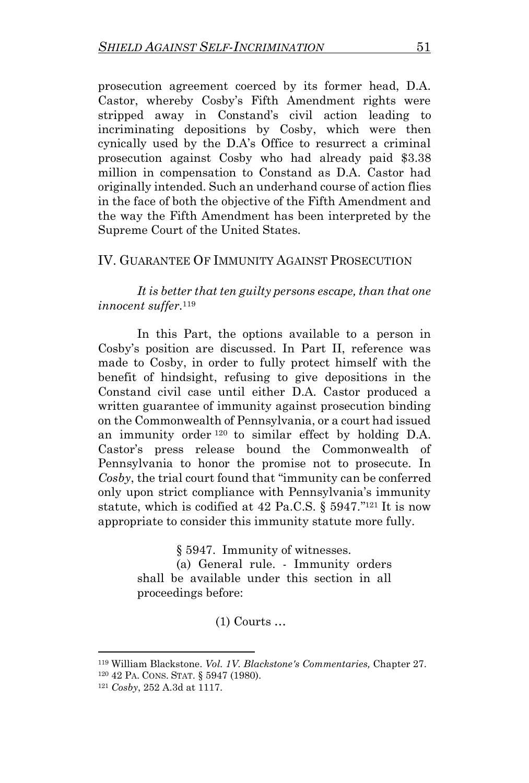prosecution agreement coerced by its former head, D.A. Castor, whereby Cosby's Fifth Amendment rights were stripped away in Constand's civil action leading to incriminating depositions by Cosby, which were then cynically used by the D.A's Office to resurrect a criminal prosecution against Cosby who had already paid \$3.38 million in compensation to Constand as D.A. Castor had originally intended. Such an underhand course of action flies in the face of both the objective of the Fifth Amendment and the way the Fifth Amendment has been interpreted by the Supreme Court of the United States.

#### IV. GUARANTEE OF IMMUNITY AGAINST PROSECUTION

*It is better that ten guilty persons escape, than that one innocent suffer.*<sup>119</sup>

In this Part, the options available to a person in Cosby's position are discussed. In Part II, reference was made to Cosby, in order to fully protect himself with the benefit of hindsight, refusing to give depositions in the Constand civil case until either D.A. Castor produced a written guarantee of immunity against prosecution binding on the Commonwealth of Pennsylvania, or a court had issued an immunity order <sup>120</sup> to similar effect by holding D.A. Castor's press release bound the Commonwealth of Pennsylvania to honor the promise not to prosecute. In *Cosby*, the trial court found that "immunity can be conferred only upon strict compliance with Pennsylvania's immunity statute, which is codified at 42 Pa.C.S. § 5947."<sup>121</sup> It is now appropriate to consider this immunity statute more fully.

§ 5947. Immunity of witnesses.

(a) General rule. - Immunity orders shall be available under this section in all proceedings before:

(1) Courts …

<sup>119</sup> William Blackstone. *Vol. 1V. Blackstone's Commentaries,* Chapter 27.

<sup>120</sup> 42 PA. CONS. STAT. § 5947 (1980).

<sup>121</sup> *Cosby*, 252 A.3d at 1117.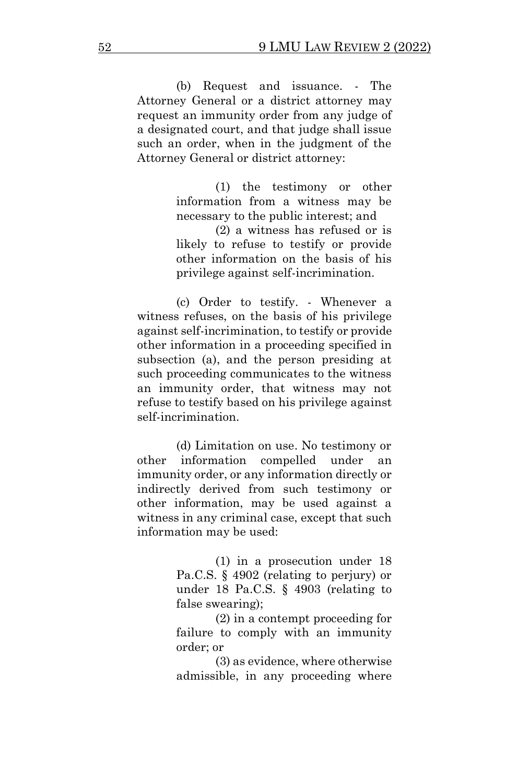(b) Request and issuance. - The Attorney General or a district attorney may request an immunity order from any judge of a designated court, and that judge shall issue such an order, when in the judgment of the Attorney General or district attorney:

> (1) the testimony or other information from a witness may be necessary to the public interest; and

(2) a witness has refused or is likely to refuse to testify or provide other information on the basis of his privilege against self-incrimination.

(c) Order to testify. - Whenever a witness refuses, on the basis of his privilege against self-incrimination, to testify or provide other information in a proceeding specified in subsection (a), and the person presiding at such proceeding communicates to the witness an immunity order, that witness may not refuse to testify based on his privilege against self-incrimination.

(d) Limitation on use. No testimony or other information compelled under an immunity order, or any information directly or indirectly derived from such testimony or other information, may be used against a witness in any criminal case, except that such information may be used:

> (1) in a prosecution under 18 Pa.C.S. § 4902 (relating to perjury) or under 18 Pa.C.S. § 4903 (relating to false swearing);

> (2) in a contempt proceeding for failure to comply with an immunity order; or

> (3) as evidence, where otherwise admissible, in any proceeding where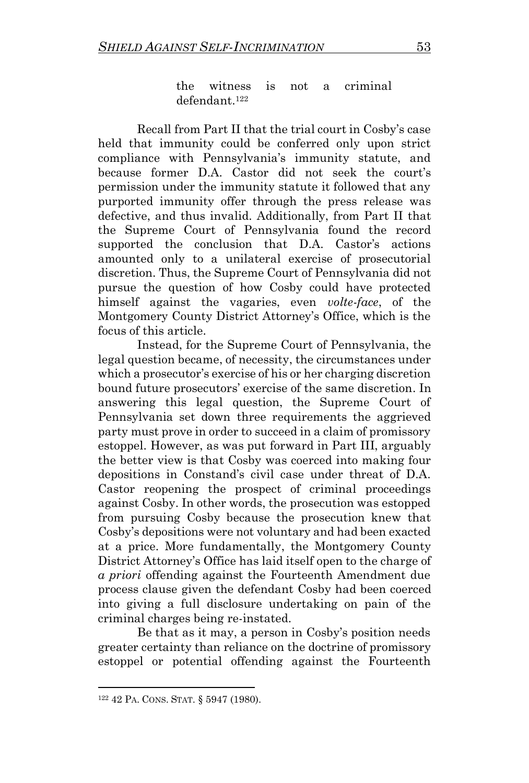the witness is not a criminal defendant.<sup>122</sup>

Recall from Part II that the trial court in Cosby's case held that immunity could be conferred only upon strict compliance with Pennsylvania's immunity statute, and because former D.A. Castor did not seek the court's permission under the immunity statute it followed that any purported immunity offer through the press release was defective, and thus invalid. Additionally, from Part II that the Supreme Court of Pennsylvania found the record supported the conclusion that D.A. Castor's actions amounted only to a unilateral exercise of prosecutorial discretion. Thus, the Supreme Court of Pennsylvania did not pursue the question of how Cosby could have protected himself against the vagaries, even *volte-face*, of the Montgomery County District Attorney's Office, which is the focus of this article.

Instead, for the Supreme Court of Pennsylvania, the legal question became, of necessity, the circumstances under which a prosecutor's exercise of his or her charging discretion bound future prosecutors' exercise of the same discretion. In answering this legal question, the Supreme Court of Pennsylvania set down three requirements the aggrieved party must prove in order to succeed in a claim of promissory estoppel. However, as was put forward in Part III, arguably the better view is that Cosby was coerced into making four depositions in Constand's civil case under threat of D.A. Castor reopening the prospect of criminal proceedings against Cosby. In other words, the prosecution was estopped from pursuing Cosby because the prosecution knew that Cosby's depositions were not voluntary and had been exacted at a price. More fundamentally, the Montgomery County District Attorney's Office has laid itself open to the charge of *a priori* offending against the Fourteenth Amendment due process clause given the defendant Cosby had been coerced into giving a full disclosure undertaking on pain of the criminal charges being re-instated.

Be that as it may, a person in Cosby's position needs greater certainty than reliance on the doctrine of promissory estoppel or potential offending against the Fourteenth

<sup>122</sup> 42 PA. CONS. STAT. § 5947 (1980).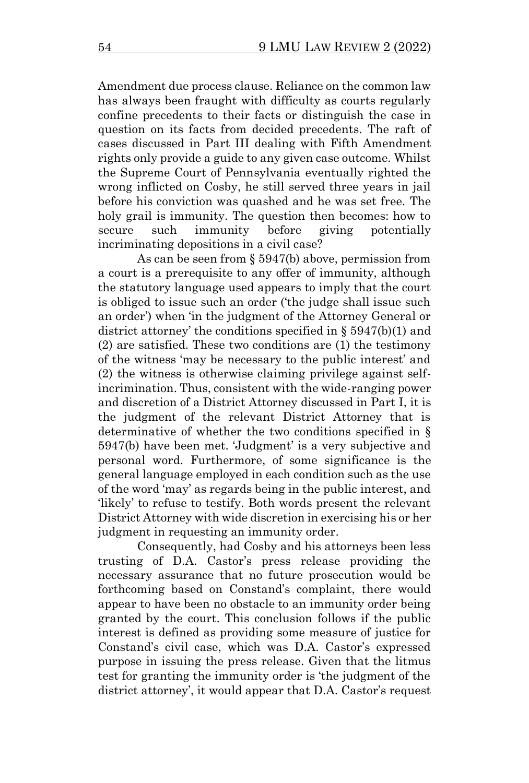Amendment due process clause. Reliance on the common law has always been fraught with difficulty as courts regularly confine precedents to their facts or distinguish the case in question on its facts from decided precedents. The raft of cases discussed in Part III dealing with Fifth Amendment rights only provide a guide to any given case outcome. Whilst the Supreme Court of Pennsylvania eventually righted the wrong inflicted on Cosby, he still served three years in jail before his conviction was quashed and he was set free. The holy grail is immunity. The question then becomes: how to secure such immunity before giving potentially incriminating depositions in a civil case?

As can be seen from § 5947(b) above, permission from a court is a prerequisite to any offer of immunity, although the statutory language used appears to imply that the court is obliged to issue such an order ('the judge shall issue such an order') when 'in the judgment of the Attorney General or district attorney' the conditions specified in § 5947(b)(1) and (2) are satisfied. These two conditions are (1) the testimony of the witness 'may be necessary to the public interest' and (2) the witness is otherwise claiming privilege against selfincrimination. Thus, consistent with the wide-ranging power and discretion of a District Attorney discussed in Part I, it is the judgment of the relevant District Attorney that is determinative of whether the two conditions specified in § 5947(b) have been met. 'Judgment' is a very subjective and personal word. Furthermore, of some significance is the general language employed in each condition such as the use of the word 'may' as regards being in the public interest, and 'likely' to refuse to testify. Both words present the relevant District Attorney with wide discretion in exercising his or her judgment in requesting an immunity order.

Consequently, had Cosby and his attorneys been less trusting of D.A. Castor's press release providing the necessary assurance that no future prosecution would be forthcoming based on Constand's complaint, there would appear to have been no obstacle to an immunity order being granted by the court. This conclusion follows if the public interest is defined as providing some measure of justice for Constand's civil case, which was D.A. Castor's expressed purpose in issuing the press release. Given that the litmus test for granting the immunity order is 'the judgment of the district attorney', it would appear that D.A. Castor's request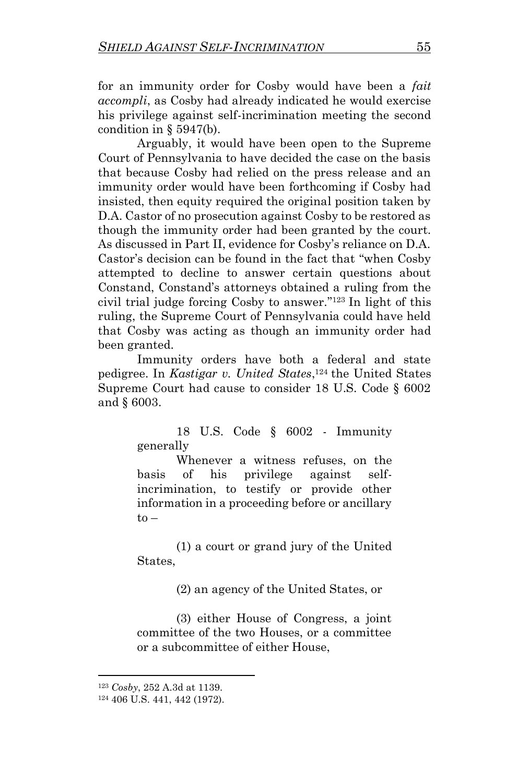for an immunity order for Cosby would have been a *fait accompli*, as Cosby had already indicated he would exercise his privilege against self-incrimination meeting the second condition in  $\S$  5947(b).

Arguably, it would have been open to the Supreme Court of Pennsylvania to have decided the case on the basis that because Cosby had relied on the press release and an immunity order would have been forthcoming if Cosby had insisted, then equity required the original position taken by D.A. Castor of no prosecution against Cosby to be restored as though the immunity order had been granted by the court. As discussed in Part II, evidence for Cosby's reliance on D.A. Castor's decision can be found in the fact that "when Cosby attempted to decline to answer certain questions about Constand, Constand's attorneys obtained a ruling from the civil trial judge forcing Cosby to answer." <sup>123</sup> In light of this ruling, the Supreme Court of Pennsylvania could have held that Cosby was acting as though an immunity order had been granted.

Immunity orders have both a federal and state pedigree. In *Kastigar v. United States*, <sup>124</sup> the United States Supreme Court had cause to consider 18 U.S. Code § 6002 and § 6003.

> 18 U.S. Code § 6002 - Immunity generally

> Whenever a witness refuses, on the basis of his privilege against selfincrimination, to testify or provide other information in a proceeding before or ancillary  $to -$

> (1) a court or grand jury of the United States,

> > (2) an agency of the United States, or

(3) either House of Congress, a joint committee of the two Houses, or a committee or a subcommittee of either House,

<sup>123</sup> *Cosby*, 252 A.3d at 1139.

<sup>124</sup> 406 U.S. 441, 442 (1972).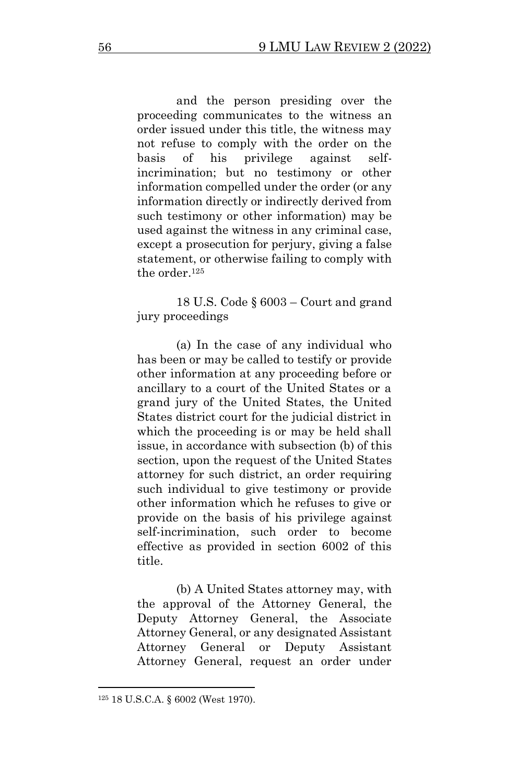and the person presiding over the proceeding communicates to the witness an order issued under this title, the witness may not refuse to comply with the order on the basis of his privilege against selfincrimination; but no testimony or other information compelled under the order (or any information directly or indirectly derived from such testimony or other information) may be used against the witness in any criminal case, except a prosecution for perjury, giving a false statement, or otherwise failing to comply with the order.<sup>125</sup>

18 U.S. Code § 6003 – Court and grand jury proceedings

(a) In the case of any individual who has been or may be called to testify or provide other information at any proceeding before or ancillary to a court of the United States or a grand jury of the United States, the United States district court for the judicial district in which the proceeding is or may be held shall issue, in accordance with subsection (b) of this section, upon the request of the United States attorney for such district, an order requiring such individual to give testimony or provide other information which he refuses to give or provide on the basis of his privilege against self-incrimination, such order to become effective as provided in section 6002 of this title.

(b) A United States attorney may, with the approval of the Attorney General, the Deputy Attorney General, the Associate Attorney General, or any designated Assistant Attorney General or Deputy Assistant Attorney General, request an order under

<sup>125</sup> 18 U.S.C.A. § 6002 (West 1970).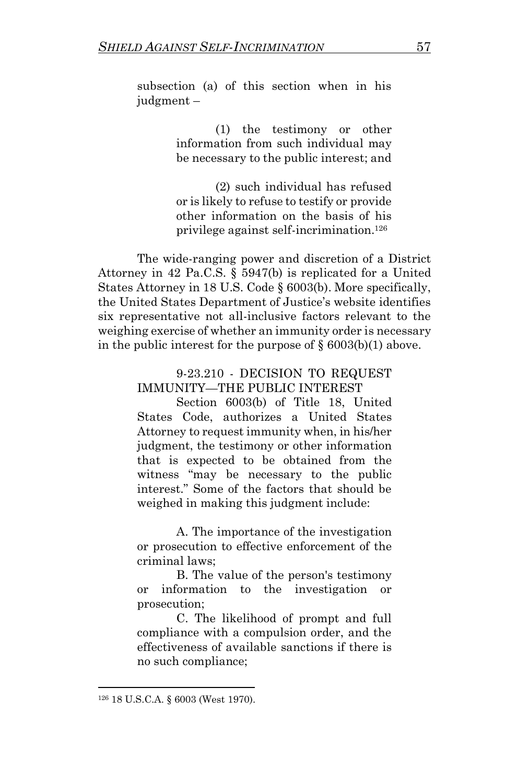subsection (a) of this section when in his judgment –

> (1) the testimony or other information from such individual may be necessary to the public interest; and

> (2) such individual has refused or is likely to refuse to testify or provide other information on the basis of his privilege against self-incrimination.<sup>126</sup>

The wide-ranging power and discretion of a District Attorney in 42 Pa.C.S. § 5947(b) is replicated for a United States Attorney in 18 U.S. Code § 6003(b). More specifically, the United States Department of Justice's website identifies six representative not all-inclusive factors relevant to the weighing exercise of whether an immunity order is necessary in the public interest for the purpose of  $\S 6003(b)(1)$  above.

> 9-23.210 - DECISION TO REQUEST IMMUNITY—THE PUBLIC INTEREST

Section 6003(b) of Title 18, United States Code, authorizes a United States Attorney to request immunity when, in his/her judgment, the testimony or other information that is expected to be obtained from the witness "may be necessary to the public interest." Some of the factors that should be weighed in making this judgment include:

A. The importance of the investigation or prosecution to effective enforcement of the criminal laws;

B. The value of the person's testimony or information to the investigation or prosecution;

C. The likelihood of prompt and full compliance with a compulsion order, and the effectiveness of available sanctions if there is no such compliance;

<sup>126</sup> 18 U.S.C.A. § 6003 (West 1970).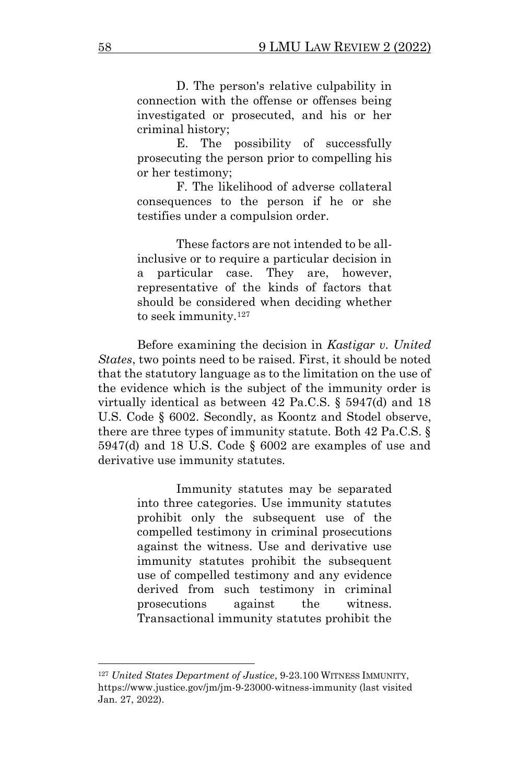D. The person's relative culpability in connection with the offense or offenses being investigated or prosecuted, and his or her criminal history;

E. The possibility of successfully prosecuting the person prior to compelling his or her testimony;

F. The likelihood of adverse collateral consequences to the person if he or she testifies under a compulsion order.

These factors are not intended to be allinclusive or to require a particular decision in a particular case. They are, however, representative of the kinds of factors that should be considered when deciding whether to seek immunity.<sup>127</sup>

Before examining the decision in *Kastigar v. United States*, two points need to be raised. First, it should be noted that the statutory language as to the limitation on the use of the evidence which is the subject of the immunity order is virtually identical as between 42 Pa.C.S. § 5947(d) and 18 U.S. Code § 6002. Secondly, as Koontz and Stodel observe, there are three types of immunity statute. Both 42 Pa.C.S. § 5947(d) and 18 U.S. Code § 6002 are examples of use and derivative use immunity statutes.

> Immunity statutes may be separated into three categories. Use immunity statutes prohibit only the subsequent use of the compelled testimony in criminal prosecutions against the witness. Use and derivative use immunity statutes prohibit the subsequent use of compelled testimony and any evidence derived from such testimony in criminal prosecutions against the witness. Transactional immunity statutes prohibit the

<sup>127</sup> *United States Department of Justice*, 9-23.100 WITNESS IMMUNITY, https://www.justice.gov/jm/jm-9-23000-witness-immunity (last visited Jan. 27, 2022).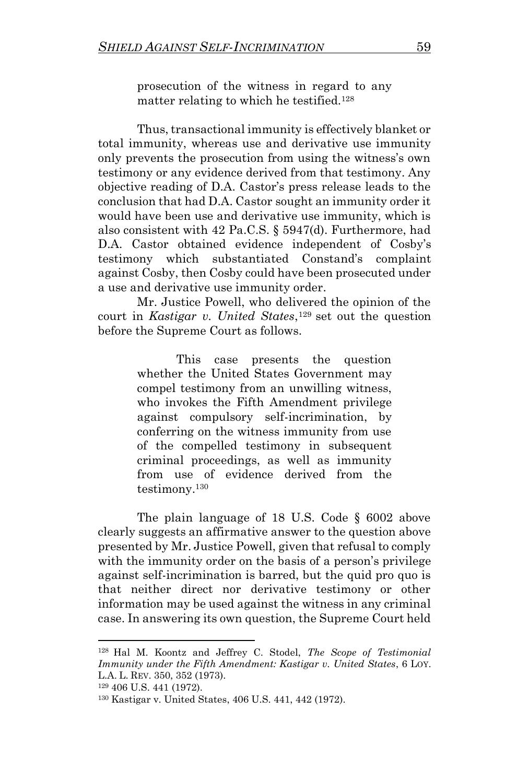prosecution of the witness in regard to any matter relating to which he testified.<sup>128</sup>

Thus, transactional immunity is effectively blanket or total immunity, whereas use and derivative use immunity only prevents the prosecution from using the witness's own testimony or any evidence derived from that testimony. Any objective reading of D.A. Castor's press release leads to the conclusion that had D.A. Castor sought an immunity order it would have been use and derivative use immunity, which is also consistent with 42 Pa.C.S. § 5947(d). Furthermore, had D.A. Castor obtained evidence independent of Cosby's testimony which substantiated Constand's complaint against Cosby, then Cosby could have been prosecuted under a use and derivative use immunity order.

Mr. Justice Powell, who delivered the opinion of the court in *Kastigar v. United States*, <sup>129</sup> set out the question before the Supreme Court as follows.

> This case presents the question whether the United States Government may compel testimony from an unwilling witness, who invokes the Fifth Amendment privilege against compulsory self-incrimination, by conferring on the witness immunity from use of the compelled testimony in subsequent criminal proceedings, as well as immunity from use of evidence derived from the testimony.<sup>130</sup>

The plain language of 18 U.S. Code § 6002 above clearly suggests an affirmative answer to the question above presented by Mr. Justice Powell, given that refusal to comply with the immunity order on the basis of a person's privilege against self-incrimination is barred, but the quid pro quo is that neither direct nor derivative testimony or other information may be used against the witness in any criminal case. In answering its own question, the Supreme Court held

<sup>128</sup> Hal M. Koontz and Jeffrey C. Stodel, *The Scope of Testimonial Immunity under the Fifth Amendment: Kastigar v. United States*, 6 LOY. L.A. L. REV. 350, 352 (1973).

<sup>129</sup> 406 U.S. 441 (1972).

<sup>130</sup> Kastigar v. United States, 406 U.S. 441, 442 (1972).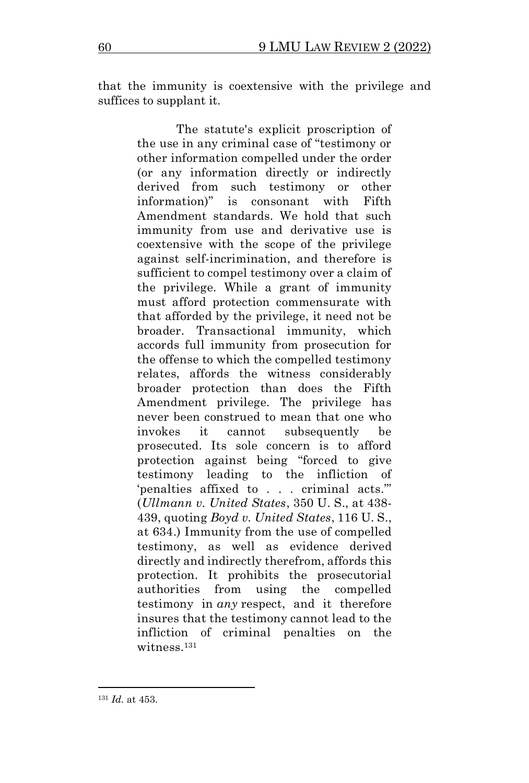that the immunity is coextensive with the privilege and suffices to supplant it.

> The statute's explicit proscription of the use in any criminal case of "testimony or other information compelled under the order (or any information directly or indirectly derived from such testimony or other information)" is consonant with Fifth Amendment standards. We hold that such immunity from use and derivative use is coextensive with the scope of the privilege against self-incrimination, and therefore is sufficient to compel testimony over a claim of the privilege. While a grant of immunity must afford protection commensurate with that afforded by the privilege, it need not be broader. Transactional immunity, which accords full immunity from prosecution for the offense to which the compelled testimony relates, affords the witness considerably broader protection than does the Fifth Amendment privilege. The privilege has never been construed to mean that one who invokes it cannot subsequently be prosecuted. Its sole concern is to afford protection against being "forced to give testimony leading to the infliction of 'penalties affixed to . . . criminal acts.'" (*Ullmann v. United States*, 350 U. S., at 438- 439, quoting *Boyd v. United States*, 116 U. S., at 634.) Immunity from the use of compelled testimony, as well as evidence derived directly and indirectly therefrom, affords this protection. It prohibits the prosecutorial authorities from using the compelled testimony in *any* respect, and it therefore insures that the testimony cannot lead to the infliction of criminal penalties on the witness<sup>131</sup>

<sup>131</sup> *Id.* at 453.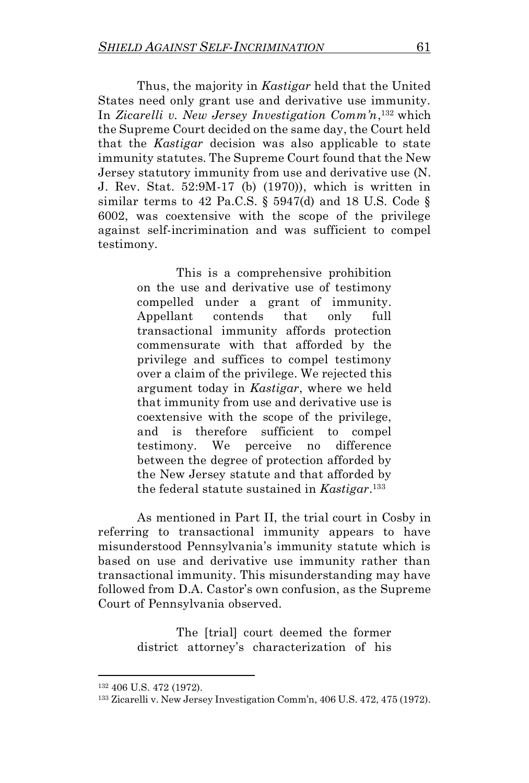Thus, the majority in *Kastigar* held that the United States need only grant use and derivative use immunity. In *Zicarelli v. New Jersey Investigation Comm'n*, <sup>132</sup> which the Supreme Court decided on the same day, the Court held that the *Kastigar* decision was also applicable to state immunity statutes. The Supreme Court found that the New Jersey statutory immunity from use and derivative use (N. J. Rev. Stat. 52:9M-17 (b) (1970)), which is written in similar terms to 42 Pa.C.S.  $\S$  5947(d) and 18 U.S. Code  $\S$ 6002, was coextensive with the scope of the privilege against self-incrimination and was sufficient to compel testimony.

> This is a comprehensive prohibition on the use and derivative use of testimony compelled under a grant of immunity. Appellant contends that only full transactional immunity affords protection commensurate with that afforded by the privilege and suffices to compel testimony over a claim of the privilege. We rejected this argument today in *Kastigar*, where we held that immunity from use and derivative use is coextensive with the scope of the privilege, and is therefore sufficient to compel testimony. We perceive no difference between the degree of protection afforded by the New Jersey statute and that afforded by the federal statute sustained in *Kastigar*. 133

As mentioned in Part II, the trial court in Cosby in referring to transactional immunity appears to have misunderstood Pennsylvania's immunity statute which is based on use and derivative use immunity rather than transactional immunity. This misunderstanding may have followed from D.A. Castor's own confusion, as the Supreme Court of Pennsylvania observed.

> The [trial] court deemed the former district attorney's characterization of his

<sup>132</sup> 406 U.S. 472 (1972).

<sup>133</sup> Zicarelli v. New Jersey Investigation Comm'n, 406 U.S. 472, 475 (1972).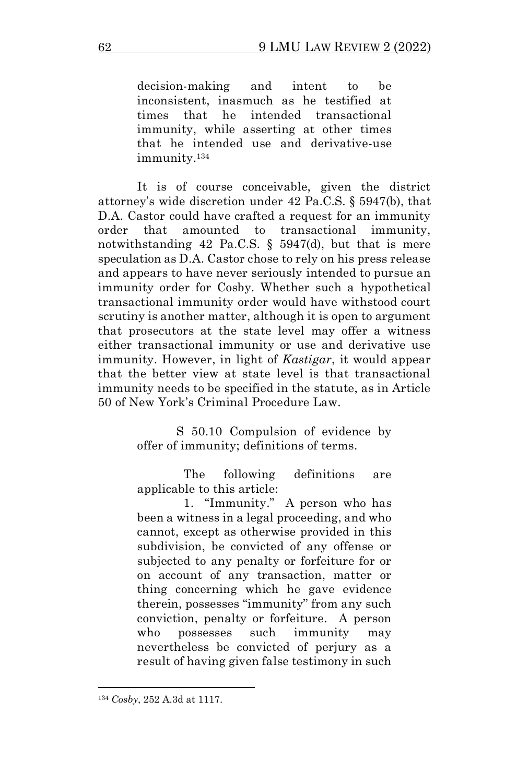decision-making and intent to be inconsistent, inasmuch as he testified at times that he intended transactional immunity, while asserting at other times that he intended use and derivative-use immunity.<sup>134</sup>

It is of course conceivable, given the district attorney's wide discretion under 42 Pa.C.S. § 5947(b), that D.A. Castor could have crafted a request for an immunity order that amounted to transactional immunity, notwithstanding 42 Pa.C.S. § 5947(d), but that is mere speculation as D.A. Castor chose to rely on his press release and appears to have never seriously intended to pursue an immunity order for Cosby. Whether such a hypothetical transactional immunity order would have withstood court scrutiny is another matter, although it is open to argument that prosecutors at the state level may offer a witness either transactional immunity or use and derivative use immunity. However, in light of *Kastigar*, it would appear that the better view at state level is that transactional immunity needs to be specified in the statute, as in Article 50 of New York's Criminal Procedure Law.

> S 50.10 Compulsion of evidence by offer of immunity; definitions of terms.

> The following definitions are applicable to this article:

 1. "Immunity." A person who has been a witness in a legal proceeding, and who cannot, except as otherwise provided in this subdivision, be convicted of any offense or subjected to any penalty or forfeiture for or on account of any transaction, matter or thing concerning which he gave evidence therein, possesses "immunity" from any such conviction, penalty or forfeiture. A person who possesses such immunity may nevertheless be convicted of perjury as a result of having given false testimony in such

<sup>134</sup> *Cosby*, 252 A.3d at 1117.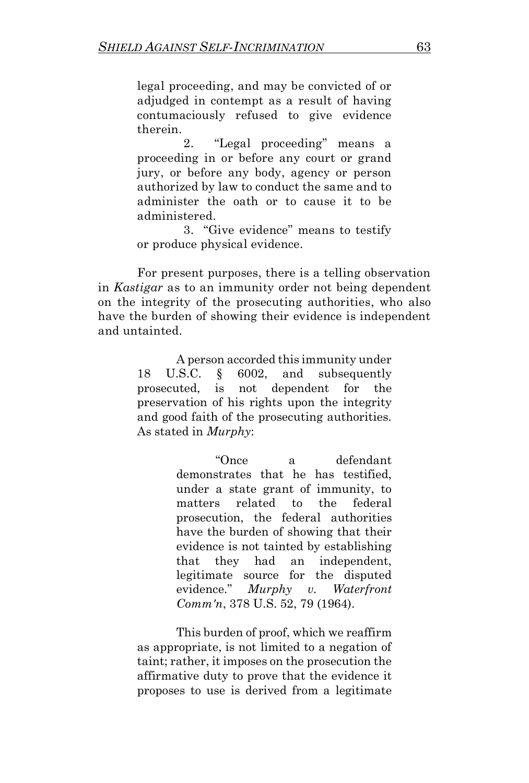legal proceeding, and may be convicted of or adjudged in contempt as a result of having contumaciously refused to give evidence therein.

 2. "Legal proceeding" means a proceeding in or before any court or grand jury, or before any body, agency or person authorized by law to conduct the same and to administer the oath or to cause it to be administered.

 3. "Give evidence" means to testify or produce physical evidence.

For present purposes, there is a telling observation in *Kastigar* as to an immunity order not being dependent on the integrity of the prosecuting authorities, who also have the burden of showing their evidence is independent and untainted.

> A person accorded this immunity under 18 U.S.C. § 6002, and subsequently prosecuted, is not dependent for the preservation of his rights upon the integrity and good faith of the prosecuting authorities. As stated in *Murphy*:

> > "Once a defendant demonstrates that he has testified, under a state grant of immunity, to matters related to the federal prosecution, the federal authorities have the burden of showing that their evidence is not tainted by establishing that they had an independent, legitimate source for the disputed evidence." *Murphy v. Waterfront Comm'n*, 378 U.S. 52, 79 (1964).

This burden of proof, which we reaffirm as appropriate, is not limited to a negation of taint; rather, it imposes on the prosecution the affirmative duty to prove that the evidence it proposes to use is derived from a legitimate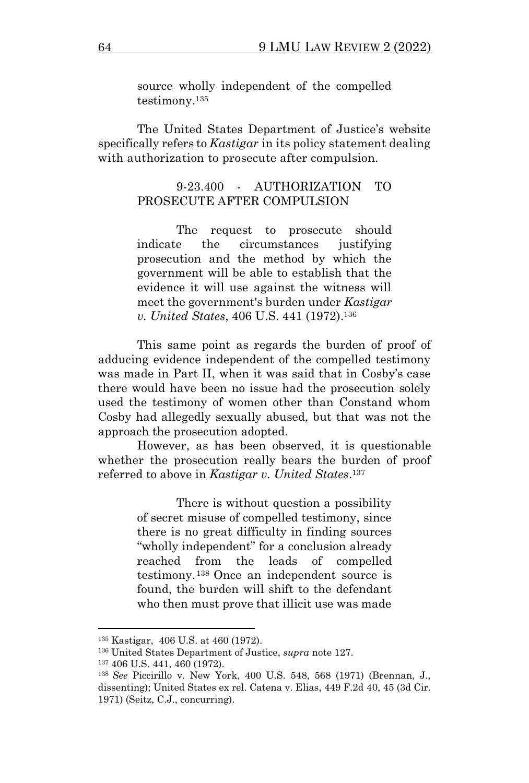source wholly independent of the compelled testimony.<sup>135</sup>

The United States Department of Justice's website specifically refers to *Kastigar* in its policy statement dealing with authorization to prosecute after compulsion.

#### 9-23.400 - AUTHORIZATION TO PROSECUTE AFTER COMPULSION

The request to prosecute should indicate the circumstances justifying prosecution and the method by which the government will be able to establish that the evidence it will use against the witness will meet the government's burden under *Kastigar v. United States*, 406 U.S. 441 (1972).<sup>136</sup>

This same point as regards the burden of proof of adducing evidence independent of the compelled testimony was made in Part II, when it was said that in Cosby's case there would have been no issue had the prosecution solely used the testimony of women other than Constand whom Cosby had allegedly sexually abused, but that was not the approach the prosecution adopted.

However, as has been observed, it is questionable whether the prosecution really bears the burden of proof referred to above in *Kastigar v. United States*. 137

> There is without question a possibility of secret misuse of compelled testimony, since there is no great difficulty in finding sources "wholly independent" for a conclusion already reached from the leads of compelled testimony. <sup>138</sup> Once an independent source is found, the burden will shift to the defendant who then must prove that illicit use was made

<sup>135</sup> Kastigar, 406 U.S. at 460 (1972).

<sup>136</sup> United States Department of Justice, *supra* note 127.

<sup>137</sup> 406 U.S. 441, 460 (1972).

<sup>138</sup> *See* Piccirillo v. New York, 400 U.S. 548, 568 (1971) (Brennan, J., dissenting); United States ex rel. Catena v. Elias, 449 F.2d 40, 45 (3d Cir. 1971) (Seitz, C.J., concurring).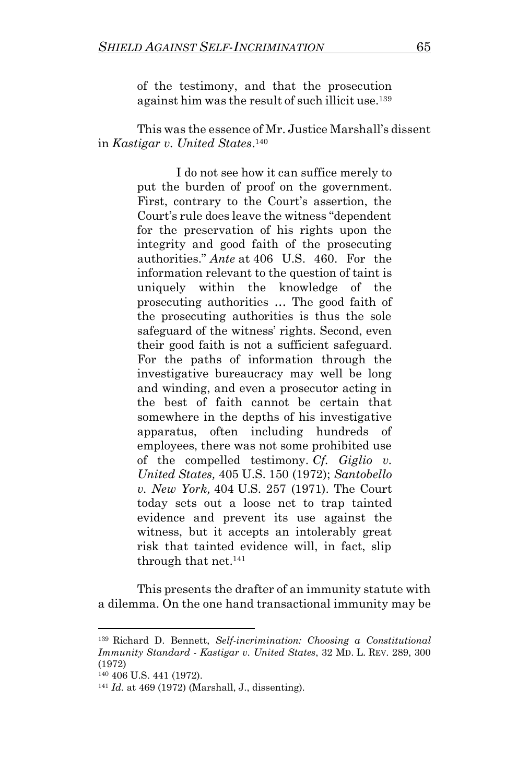of the testimony, and that the prosecution against him was the result of such illicit use.<sup>139</sup>

This was the essence of Mr. Justice Marshall's dissent in *Kastigar v. United States*. 140

> I do not see how it can suffice merely to put the burden of proof on the government. First, contrary to the Court's assertion, the Court's rule does leave the witness "dependent for the preservation of his rights upon the integrity and good faith of the prosecuting authorities." *Ante* at 406 U.S. 460. For the information relevant to the question of taint is uniquely within the knowledge of the prosecuting authorities … The good faith of the prosecuting authorities is thus the sole safeguard of the witness' rights. Second, even their good faith is not a sufficient safeguard. For the paths of information through the investigative bureaucracy may well be long and winding, and even a prosecutor acting in the best of faith cannot be certain that somewhere in the depths of his investigative apparatus, often including hundreds of employees, there was not some prohibited use of the compelled testimony. *Cf. Giglio v. United States,* 405 U.S. 150 (1972); *Santobello v. New York,* 404 U.S. 257 (1971). The Court today sets out a loose net to trap tainted evidence and prevent its use against the witness, but it accepts an intolerably great risk that tainted evidence will, in fact, slip through that net.<sup>141</sup>

This presents the drafter of an immunity statute with a dilemma. On the one hand transactional immunity may be

<sup>139</sup> Richard D. Bennett, *Self-incrimination: Choosing a Constitutional Immunity Standard* - *Kastigar v. United States*, 32 MD. L. REV. 289, 300 (1972)

<sup>140</sup> 406 U.S. 441 (1972).

<sup>141</sup> *Id.* at 469 (1972) (Marshall, J., dissenting).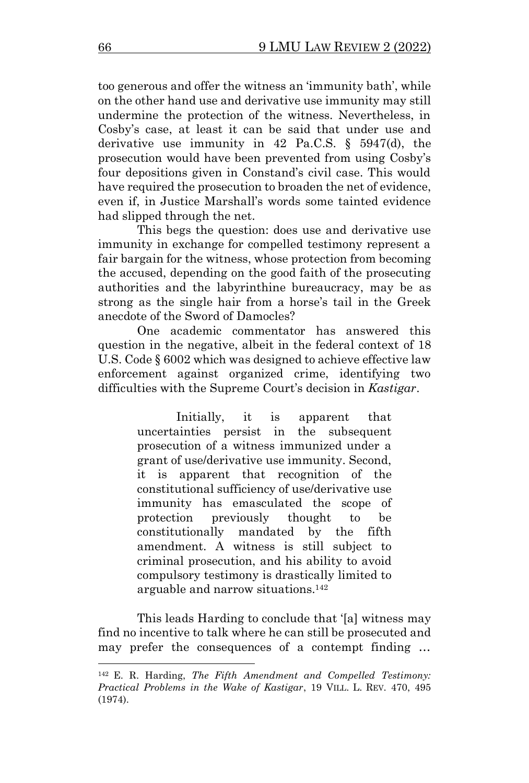too generous and offer the witness an 'immunity bath', while on the other hand use and derivative use immunity may still undermine the protection of the witness. Nevertheless, in Cosby's case, at least it can be said that under use and derivative use immunity in 42 Pa.C.S. § 5947(d), the prosecution would have been prevented from using Cosby's four depositions given in Constand's civil case. This would have required the prosecution to broaden the net of evidence, even if, in Justice Marshall's words some tainted evidence had slipped through the net.

This begs the question: does use and derivative use immunity in exchange for compelled testimony represent a fair bargain for the witness, whose protection from becoming the accused, depending on the good faith of the prosecuting authorities and the labyrinthine bureaucracy, may be as strong as the single hair from a horse's tail in the Greek anecdote of the Sword of Damocles?

One academic commentator has answered this question in the negative, albeit in the federal context of 18 U.S. Code § 6002 which was designed to achieve effective law enforcement against organized crime, identifying two difficulties with the Supreme Court's decision in *Kastigar*.

> Initially, it is apparent that uncertainties persist in the subsequent prosecution of a witness immunized under a grant of use/derivative use immunity. Second, it is apparent that recognition of the constitutional sufficiency of use/derivative use immunity has emasculated the scope of protection previously thought to be constitutionally mandated by the fifth amendment. A witness is still subject to criminal prosecution, and his ability to avoid compulsory testimony is drastically limited to arguable and narrow situations.<sup>142</sup>

This leads Harding to conclude that '[a] witness may find no incentive to talk where he can still be prosecuted and may prefer the consequences of a contempt finding …

<sup>142</sup> E. R. Harding, *The Fifth Amendment and Compelled Testimony: Practical Problems in the Wake of Kastigar*, 19 VILL. L. REV. 470, 495 (1974).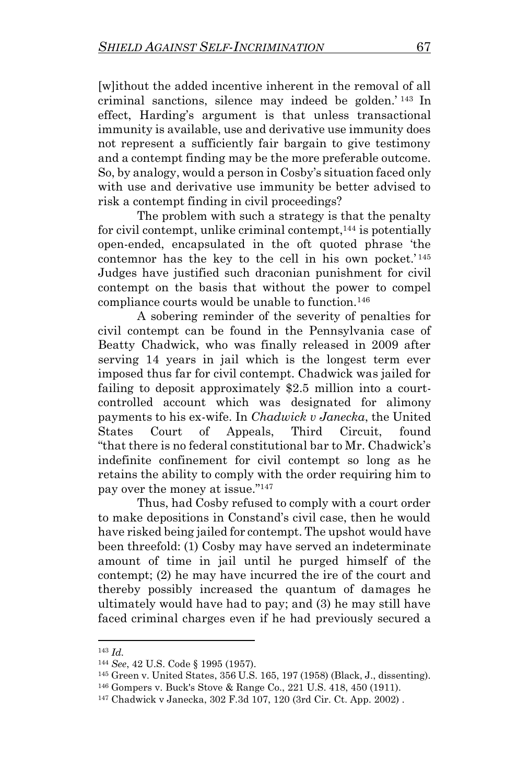[w]ithout the added incentive inherent in the removal of all criminal sanctions, silence may indeed be golden.' <sup>143</sup> In effect, Harding's argument is that unless transactional immunity is available, use and derivative use immunity does not represent a sufficiently fair bargain to give testimony and a contempt finding may be the more preferable outcome. So, by analogy, would a person in Cosby's situation faced only with use and derivative use immunity be better advised to risk a contempt finding in civil proceedings?

The problem with such a strategy is that the penalty for civil contempt, unlike criminal contempt,  $^{144}$  is potentially open-ended, encapsulated in the oft quoted phrase 'the contemnor has the key to the cell in his own pocket.' <sup>145</sup> Judges have justified such draconian punishment for civil contempt on the basis that without the power to compel compliance courts would be unable to function.<sup>146</sup>

A sobering reminder of the severity of penalties for civil contempt can be found in the Pennsylvania case of Beatty Chadwick, who was finally released in 2009 after serving 14 years in jail which is the longest term ever imposed thus far for civil contempt. Chadwick was jailed for failing to deposit approximately \$2.5 million into a courtcontrolled account which was designated for alimony payments to his ex-wife. In *Chadwick v Janecka*, the United States Court of Appeals, Third Circuit, found "that there is no federal constitutional bar to Mr. Chadwick's indefinite confinement for civil contempt so long as he retains the ability to comply with the order requiring him to pay over the money at issue." 147

Thus, had Cosby refused to comply with a court order to make depositions in Constand's civil case, then he would have risked being jailed for contempt. The upshot would have been threefold: (1) Cosby may have served an indeterminate amount of time in jail until he purged himself of the contempt; (2) he may have incurred the ire of the court and thereby possibly increased the quantum of damages he ultimately would have had to pay; and (3) he may still have faced criminal charges even if he had previously secured a

<sup>143</sup> *Id.*

<sup>144</sup> *See*, 42 U.S. Code § 1995 (1957).

<sup>145</sup> Green v. United States, 356 U.S. 165, 197 (1958) (Black, J., dissenting).

<sup>146</sup> Gompers v. Buck's Stove & Range Co., 221 U.S. 418, 450 (1911).

<sup>147</sup> Chadwick v Janecka, 302 F.3d 107, 120 (3rd Cir. Ct. App. 2002) .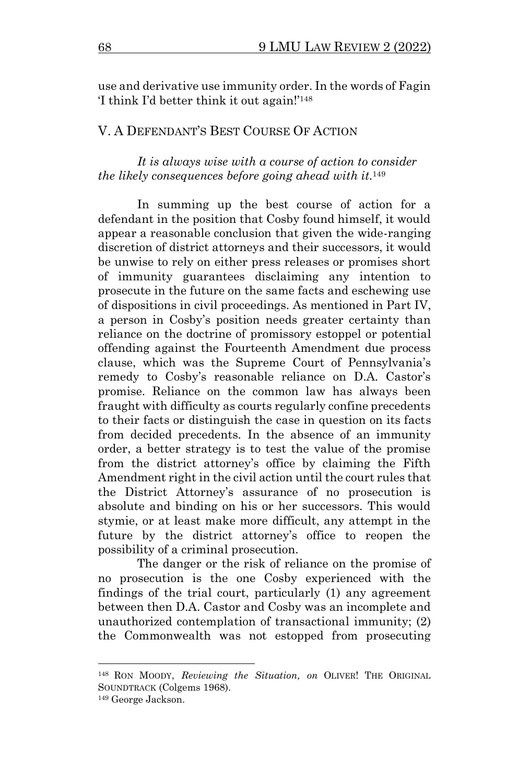use and derivative use immunity order. In the words of Fagin 'I think I'd better think it out again!'<sup>148</sup>

### V. A DEFENDANT'S BEST COURSE OF ACTION

#### *It is always wise with a course of action to consider the likely consequences before going ahead with it.*<sup>149</sup>

In summing up the best course of action for a defendant in the position that Cosby found himself, it would appear a reasonable conclusion that given the wide-ranging discretion of district attorneys and their successors, it would be unwise to rely on either press releases or promises short of immunity guarantees disclaiming any intention to prosecute in the future on the same facts and eschewing use of dispositions in civil proceedings. As mentioned in Part IV, a person in Cosby's position needs greater certainty than reliance on the doctrine of promissory estoppel or potential offending against the Fourteenth Amendment due process clause, which was the Supreme Court of Pennsylvania's remedy to Cosby's reasonable reliance on D.A. Castor's promise. Reliance on the common law has always been fraught with difficulty as courts regularly confine precedents to their facts or distinguish the case in question on its facts from decided precedents. In the absence of an immunity order, a better strategy is to test the value of the promise from the district attorney's office by claiming the Fifth Amendment right in the civil action until the court rules that the District Attorney's assurance of no prosecution is absolute and binding on his or her successors. This would stymie, or at least make more difficult, any attempt in the future by the district attorney's office to reopen the possibility of a criminal prosecution.

The danger or the risk of reliance on the promise of no prosecution is the one Cosby experienced with the findings of the trial court, particularly (1) any agreement between then D.A. Castor and Cosby was an incomplete and unauthorized contemplation of transactional immunity; (2) the Commonwealth was not estopped from prosecuting

<sup>148</sup> RON MOODY, *Reviewing the Situation, on* OLIVER! THE ORIGINAL SOUNDTRACK (Colgems 1968).

<sup>149</sup> George Jackson.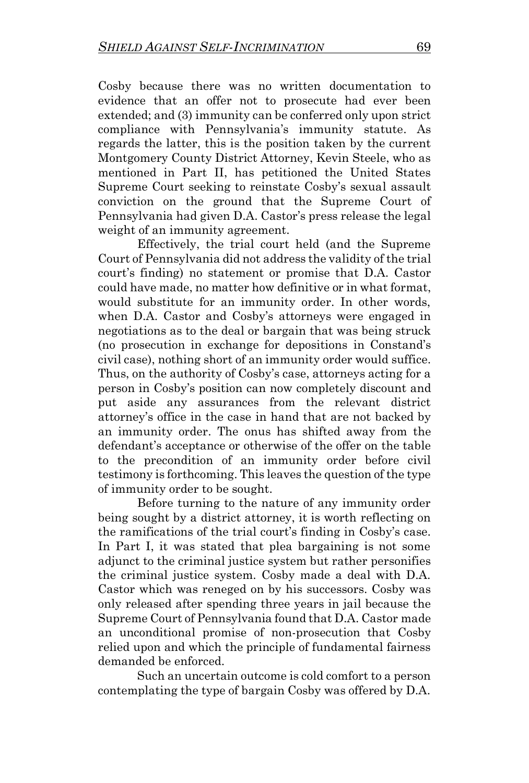Cosby because there was no written documentation to evidence that an offer not to prosecute had ever been extended; and (3) immunity can be conferred only upon strict compliance with Pennsylvania's immunity statute. As regards the latter, this is the position taken by the current Montgomery County District Attorney, Kevin Steele, who as mentioned in Part II, has petitioned the United States Supreme Court seeking to reinstate Cosby's sexual assault conviction on the ground that the Supreme Court of Pennsylvania had given D.A. Castor's press release the legal weight of an immunity agreement.

Effectively, the trial court held (and the Supreme Court of Pennsylvania did not address the validity of the trial court's finding) no statement or promise that D.A. Castor could have made, no matter how definitive or in what format, would substitute for an immunity order. In other words, when D.A. Castor and Cosby's attorneys were engaged in negotiations as to the deal or bargain that was being struck (no prosecution in exchange for depositions in Constand's civil case), nothing short of an immunity order would suffice. Thus, on the authority of Cosby's case, attorneys acting for a person in Cosby's position can now completely discount and put aside any assurances from the relevant district attorney's office in the case in hand that are not backed by an immunity order. The onus has shifted away from the defendant's acceptance or otherwise of the offer on the table to the precondition of an immunity order before civil testimony is forthcoming. This leaves the question of the type of immunity order to be sought.

Before turning to the nature of any immunity order being sought by a district attorney, it is worth reflecting on the ramifications of the trial court's finding in Cosby's case. In Part I, it was stated that plea bargaining is not some adjunct to the criminal justice system but rather personifies the criminal justice system. Cosby made a deal with D.A. Castor which was reneged on by his successors. Cosby was only released after spending three years in jail because the Supreme Court of Pennsylvania found that D.A. Castor made an unconditional promise of non-prosecution that Cosby relied upon and which the principle of fundamental fairness demanded be enforced.

Such an uncertain outcome is cold comfort to a person contemplating the type of bargain Cosby was offered by D.A.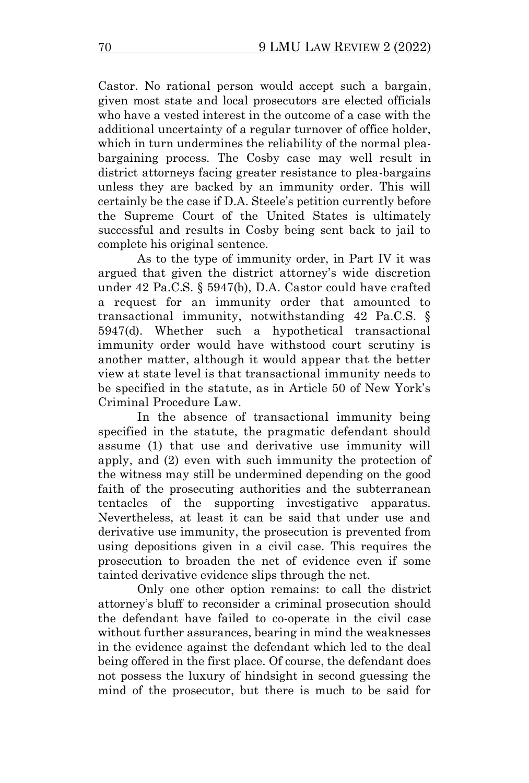Castor. No rational person would accept such a bargain, given most state and local prosecutors are elected officials who have a vested interest in the outcome of a case with the additional uncertainty of a regular turnover of office holder, which in turn undermines the reliability of the normal pleabargaining process. The Cosby case may well result in district attorneys facing greater resistance to plea-bargains unless they are backed by an immunity order. This will certainly be the case if D.A. Steele's petition currently before the Supreme Court of the United States is ultimately successful and results in Cosby being sent back to jail to complete his original sentence.

As to the type of immunity order, in Part IV it was argued that given the district attorney's wide discretion under 42 Pa.C.S. § 5947(b), D.A. Castor could have crafted a request for an immunity order that amounted to transactional immunity, notwithstanding 42 Pa.C.S. § 5947(d). Whether such a hypothetical transactional immunity order would have withstood court scrutiny is another matter, although it would appear that the better view at state level is that transactional immunity needs to be specified in the statute, as in Article 50 of New York's Criminal Procedure Law.

In the absence of transactional immunity being specified in the statute, the pragmatic defendant should assume (1) that use and derivative use immunity will apply, and (2) even with such immunity the protection of the witness may still be undermined depending on the good faith of the prosecuting authorities and the subterranean tentacles of the supporting investigative apparatus. Nevertheless, at least it can be said that under use and derivative use immunity, the prosecution is prevented from using depositions given in a civil case. This requires the prosecution to broaden the net of evidence even if some tainted derivative evidence slips through the net.

Only one other option remains: to call the district attorney's bluff to reconsider a criminal prosecution should the defendant have failed to co-operate in the civil case without further assurances, bearing in mind the weaknesses in the evidence against the defendant which led to the deal being offered in the first place. Of course, the defendant does not possess the luxury of hindsight in second guessing the mind of the prosecutor, but there is much to be said for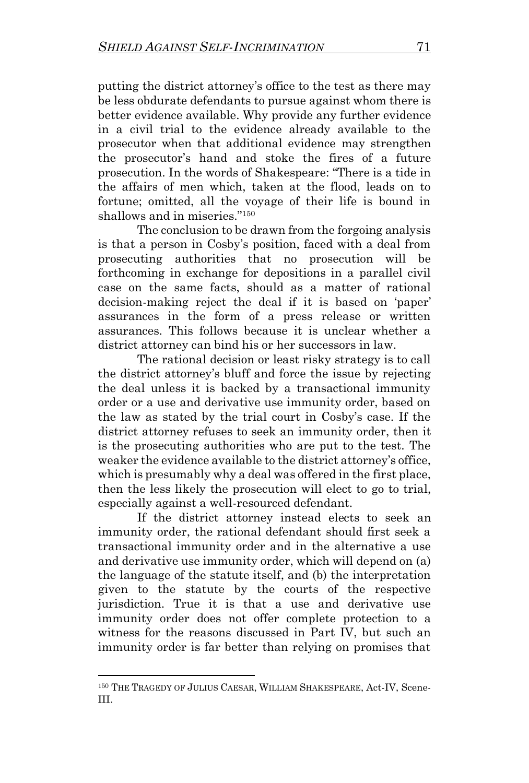putting the district attorney's office to the test as there may be less obdurate defendants to pursue against whom there is better evidence available. Why provide any further evidence in a civil trial to the evidence already available to the prosecutor when that additional evidence may strengthen the prosecutor's hand and stoke the fires of a future prosecution. In the words of Shakespeare: "There is a tide in the affairs of men which, taken at the flood, leads on to fortune; omitted, all the voyage of their life is bound in shallows and in miseries." 150

The conclusion to be drawn from the forgoing analysis is that a person in Cosby's position, faced with a deal from prosecuting authorities that no prosecution will be forthcoming in exchange for depositions in a parallel civil case on the same facts, should as a matter of rational decision-making reject the deal if it is based on 'paper' assurances in the form of a press release or written assurances. This follows because it is unclear whether a district attorney can bind his or her successors in law.

The rational decision or least risky strategy is to call the district attorney's bluff and force the issue by rejecting the deal unless it is backed by a transactional immunity order or a use and derivative use immunity order, based on the law as stated by the trial court in Cosby's case. If the district attorney refuses to seek an immunity order, then it is the prosecuting authorities who are put to the test. The weaker the evidence available to the district attorney's office, which is presumably why a deal was offered in the first place, then the less likely the prosecution will elect to go to trial, especially against a well-resourced defendant.

If the district attorney instead elects to seek an immunity order, the rational defendant should first seek a transactional immunity order and in the alternative a use and derivative use immunity order, which will depend on (a) the language of the statute itself, and (b) the interpretation given to the statute by the courts of the respective jurisdiction. True it is that a use and derivative use immunity order does not offer complete protection to a witness for the reasons discussed in Part IV, but such an immunity order is far better than relying on promises that

<sup>150</sup> THE TRAGEDY OF JULIUS CAESAR, WILLIAM SHAKESPEARE, Act-IV, Scene-III.